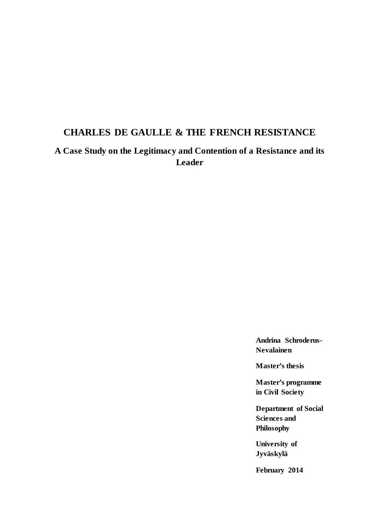# **CHARLES DE GAULLE & THE FRENCH RESISTANCE**

**A Case Study on the Legitimacy and Contention of a Resistance and its Leader**

> **Andrina Schroderus-Nevalainen**

**Master's thesis**

**Master's programme in Civil Society**

**Department of Social Sciences and Philosophy**

**University of Jyväskylä**

**February 2014**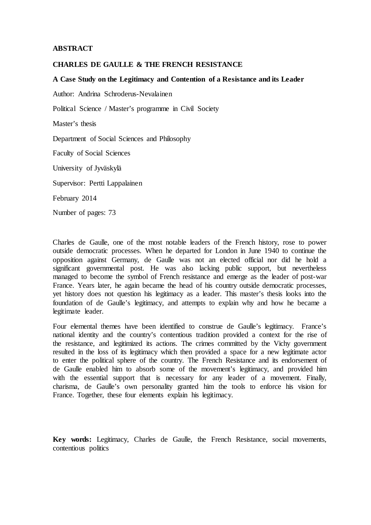#### **ABSTRACT**

#### **CHARLES DE GAULLE & THE FRENCH RESISTANCE**

#### **A Case Study on the Legitimacy and Contention of a Resistance and its Leader**

Author: Andrina Schroderus-Nevalainen

Political Science / Master's programme in Civil Society

Master's thesis

Department of Social Sciences and Philosophy

Faculty of Social Sciences

University of Jyväskylä

Supervisor: Pertti Lappalainen

February 2014

Number of pages: 73

Charles de Gaulle, one of the most notable leaders of the French history, rose to power outside democratic processes. When he departed for London in June 1940 to continue the opposition against Germany, de Gaulle was not an elected official nor did he hold a significant governmental post. He was also lacking public support, but nevertheless managed to become the symbol of French resistance and emerge as the leader of post-war France. Years later, he again became the head of his country outside democratic processes, yet history does not question his legitimacy as a leader. This master's thesis looks into the foundation of de Gaulle's legitimacy, and attempts to explain why and how he became a legitimate leader.

Four elemental themes have been identified to construe de Gaulle's legitimacy. France's national identity and the country's contentious tradition provided a context for the rise of the resistance, and legitimized its actions. The crimes committed by the Vichy government resulted in the loss of its legitimacy which then provided a space for a new legitimate actor to enter the political sphere of the country. The French Resistance and its endorsement of de Gaulle enabled him to absorb some of the movement's legitimacy, and provided him with the essential support that is necessary for any leader of a movement. Finally, charisma, de Gaulle's own personality granted him the tools to enforce his vision for France. Together, these four elements explain his legitimacy.

**Key words:** Legitimacy, Charles de Gaulle, the French Resistance, social movements, contentious politics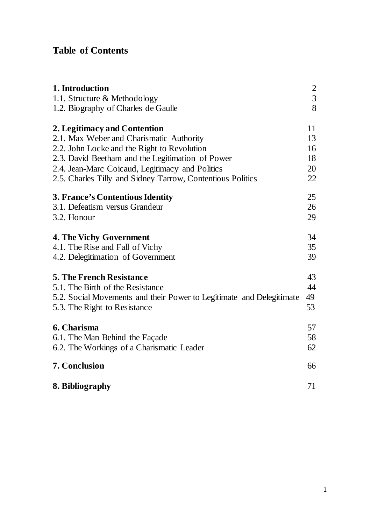## **Table of Contents**

| 1. Introduction                                                      |               |
|----------------------------------------------------------------------|---------------|
| 1.1. Structure & Methodology                                         | $\frac{2}{3}$ |
| 1.2. Biography of Charles de Gaulle                                  | 8             |
| 2. Legitimacy and Contention                                         | 11            |
| 2.1. Max Weber and Charismatic Authority                             | 13            |
| 2.2. John Locke and the Right to Revolution                          | 16            |
| 2.3. David Beetham and the Legitimation of Power                     | 18            |
| 2.4. Jean-Marc Coicaud, Legitimacy and Politics                      | 20            |
| 2.5. Charles Tilly and Sidney Tarrow, Contentious Politics           | 22            |
| <b>3. France's Contentious Identity</b>                              | 25            |
| 3.1. Defeatism versus Grandeur                                       | 26            |
| 3.2. Honour                                                          | 29            |
| <b>4. The Vichy Government</b>                                       | 34            |
| 4.1. The Rise and Fall of Vichy                                      | 35            |
| 4.2. Delegitimation of Government                                    | 39            |
| <b>5. The French Resistance</b>                                      | 43            |
| 5.1. The Birth of the Resistance                                     | 44            |
| 5.2. Social Movements and their Power to Legitimate and Delegitimate | 49            |
| 5.3. The Right to Resistance                                         | 53            |
| 6. Charisma                                                          | 57            |
| 6.1. The Man Behind the Façade                                       | 58            |
| 6.2. The Workings of a Charismatic Leader                            | 62            |
| 7. Conclusion                                                        | 66            |
| 8. Bibliography                                                      | 71            |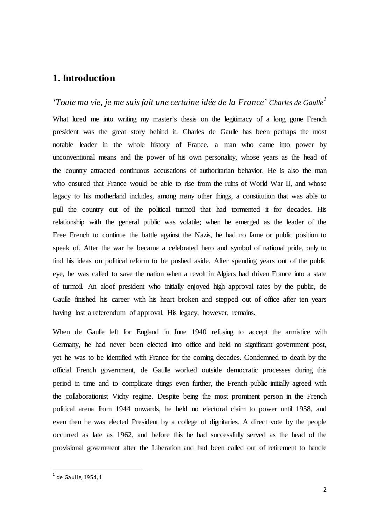## <span id="page-3-0"></span>**1. Introduction**

*'Toute ma vie, je me suis fait une certaine idée de la France' Charles de Gaulle[1](#page-3-1)* What lured me into writing my master's thesis on the legitimacy of a long gone French president was the great story behind it. Charles de Gaulle has been perhaps the most notable leader in the whole history of France, a man who came into power by unconventional means and the power of his own personality, whose years as the head of the country attracted continuous accusations of authoritarian behavior. He is also the man who ensured that France would be able to rise from the ruins of World War II, and whose legacy to his motherland includes, among many other things, a constitution that was able to pull the country out of the political turmoil that had tormented it for decades. His relationship with the general public was volatile; when he emerged as the leader of the Free French to continue the battle against the Nazis, he had no fame or public position to speak of. After the war he became a celebrated hero and symbol of national pride, only to find his ideas on political reform to be pushed aside. After spending years out of the public eye, he was called to save the nation when a revolt in Algiers had driven France into a state of turmoil. An aloof president who initially enjoyed high approval rates by the public, de Gaulle finished his career with his heart broken and stepped out of office after ten years having lost a referendum of approval. His legacy, however, remains.

When de Gaulle left for England in June 1940 refusing to accept the armistice with Germany, he had never been elected into office and held no significant government post, yet he was to be identified with France for the coming decades. Condemned to death by the official French government, de Gaulle worked outside democratic processes during this period in time and to complicate things even further, the French public initially agreed with the collaborationist Vichy regime. Despite being the most prominent person in the French political arena from 1944 onwards, he held no electoral claim to power until 1958, and even then he was elected President by a college of dignitaries. A direct vote by the people occurred as late as 1962, and before this he had successfully served as the head of the provisional government after the Liberation and had been called out of retirement to handle

<span id="page-3-1"></span> $1$  de Gaulle, 1954, 1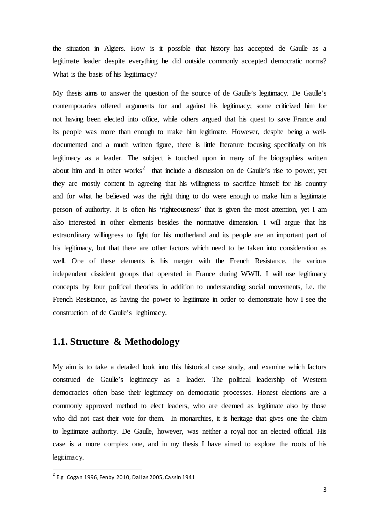the situation in Algiers. How is it possible that history has accepted de Gaulle as a legitimate leader despite everything he did outside commonly accepted democratic norms? What is the basis of his legitimacy?

My thesis aims to answer the question of the source of de Gaulle's legitimacy. De Gaulle's contemporaries offered arguments for and against his legitimacy; some criticized him for not having been elected into office, while others argued that his quest to save France and its people was more than enough to make him legitimate. However, despite being a welldocumented and a much written figure, there is little literature focusing specifically on his legitimacy as a leader. The subject is touched upon in many of the biographies written about him and in other works<sup>[2](#page-4-1)</sup> that include a discussion on de Gaulle's rise to power, yet they are mostly content in agreeing that his willingness to sacrifice himself for his country and for what he believed was the right thing to do were enough to make him a legitimate person of authority. It is often his 'righteousness' that is given the most attention, yet I am also interested in other elements besides the normative dimension. I will argue that his extraordinary willingness to fight for his motherland and its people are an important part of his legitimacy, but that there are other factors which need to be taken into consideration as well. One of these elements is his merger with the French Resistance, the various independent dissident groups that operated in France during WWII. I will use legitimacy concepts by four political theorists in addition to understanding social movements, i.e. the French Resistance, as having the power to legitimate in order to demonstrate how I see the construction of de Gaulle's legitimacy.

## <span id="page-4-0"></span>**1.1. Structure & Methodology**

My aim is to take a detailed look into this historical case study, and examine which factors construed de Gaulle's legitimacy as a leader. The political leadership of Western democracies often base their legitimacy on democratic processes. Honest elections are a commonly approved method to elect leaders, who are deemed as legitimate also by those who did not cast their vote for them. In monarchies, it is heritage that gives one the claim to legitimate authority. De Gaulle, however, was neither a royal nor an elected official. His case is a more complex one, and in my thesis I have aimed to explore the roots of his legitimacy.

<span id="page-4-1"></span> $2^{2}$  E.g Cogan 1996, Fenby 2010, Dallas 2005, Cassin 1941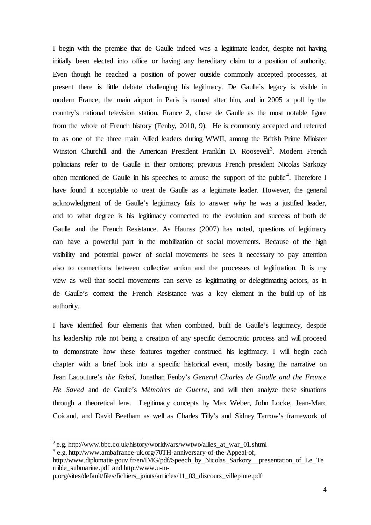I begin with the premise that de Gaulle indeed was a legitimate leader, despite not having initially been elected into office or having any hereditary claim to a position of authority. Even though he reached a position of power outside commonly accepted processes, at present there is little debate challenging his legitimacy. De Gaulle's legacy is visible in modern France; the main airport in Paris is named after him, and in 2005 a poll by the country's national television station, France 2, chose de Gaulle as the most notable figure from the whole of French history (Fenby, 2010, 9). He is commonly accepted and referred to as one of the three main Allied leaders during WWII, among the British Prime Minister Winston Churchill and the American President Franklin D. Roosevelt<sup>[3](#page-5-0)</sup>. Modern French politicians refer to de Gaulle in their orations; previous French president Nicolas Sarkozy often mentioned de Gaulle in his speeches to arouse the support of the public<sup>[4](#page-5-1)</sup>. Therefore I have found it acceptable to treat de Gaulle as a legitimate leader. However, the general acknowledgment of de Gaulle's legitimacy fails to answer *why* he was a justified leader, and to what degree is his legitimacy connected to the evolution and success of both de Gaulle and the French Resistance. As Haunss (2007) has noted, questions of legitimacy can have a powerful part in the mobilization of social movements. Because of the high visibility and potential power of social movements he sees it necessary to pay attention also to connections between collective action and the processes of legitimation. It is my view as well that social movements can serve as legitimating or delegitimating actors, as in de Gaulle's context the French Resistance was a key element in the build-up of his authority.

I have identified four elements that when combined, built de Gaulle's legitimacy, despite his leadership role not being a creation of any specific democratic process and will proceed to demonstrate how these features together construed his legitimacy. I will begin each chapter with a brief look into a specific historical event, mostly basing the narrative on Jean Lacouture's *the Rebel*, Jonathan Fenby's *General Charles de Gaulle and the France He Saved* and de Gaulle's *Mémoires de Guerre*, and will then analyze these situations through a theoretical lens. Legitimacy concepts by Max Weber, John Locke, Jean-Marc Coicaud, and David Beetham as well as Charles Tilly's and Sidney Tarrow's framework of

<span id="page-5-0"></span><sup>3</sup> e.g. http://www.bbc.co.uk/history/worldwars/wwtwo/allies\_at\_war\_01.shtml 4

<span id="page-5-1"></span>e.g. http://www.ambafrance-uk.org/70TH-anniversary-of-the-Appeal-of,

http://www.diplomatie.gouv.fr/en/IMG/pdf/Speech\_by\_Nicolas\_Sarkozy\_\_presentation\_of\_Le\_Te rrible\_submarine.pdf and http://www.u-m-

p.org/sites/default/files/fichiers\_joints/articles/11\_03\_discours\_villepinte.pdf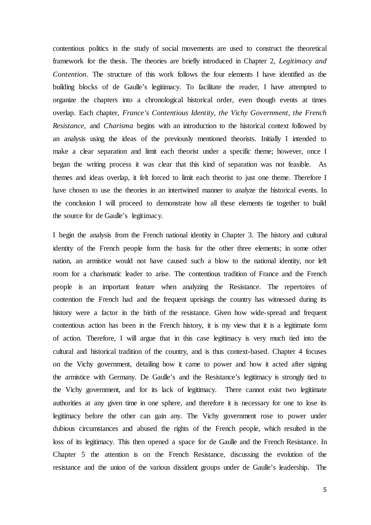contentious politics in the study of social movements are used to construct the theoretical framework for the thesis. The theories are briefly introduced in Chapter 2, *Legitimacy and Contention*. The structure of this work follows the four elements I have identified as the building blocks of de Gaulle's legitimacy. To facilitate the reader, I have attempted to organize the chapters into a chronological historical order, even though events at times overlap. Each chapter, *France's Contentious Identity*, *the Vichy Government, the French Resistance*, and *Charisma* begins with an introduction to the historical context followed by an analysis using the ideas of the previously mentioned theorists. Initially I intended to make a clear separation and limit each theorist under a specific theme; however, once I began the writing process it was clear that this kind of separation was not feasible. As themes and ideas overlap, it felt forced to limit each theorist to just one theme. Therefore I have chosen to use the theories in an intertwined manner to analyze the historical events. In the conclusion I will proceed to demonstrate how all these elements tie together to build the source for de Gaulle's legitimacy.

I begin the analysis from the French national identity in Chapter 3. The history and cultural identity of the French people form the basis for the other three elements; in some other nation, an armistice would not have caused such a blow to the national identity, nor left room for a charismatic leader to arise. The contentious tradition of France and the French people is an important feature when analyzing the Resistance. The repertoires of contention the French had and the frequent uprisings the country has witnessed during its history were a factor in the birth of the resistance. Given how wide-spread and frequent contentious action has been in the French history, it is my view that it is a legitimate form of action. Therefore, I will argue that in this case legitimacy is very much tied into the cultural and historical tradition of the country, and is thus context-based. Chapter 4 focuses on the Vichy government, detailing how it came to power and how it acted after signing the armistice with Germany. De Gaulle's and the Resistance's legitimacy is strongly tied to the Vichy government, and for its lack of legitimacy. There cannot exist two legitimate authorities at any given time in one sphere, and therefore it is necessary for one to lose its legitimacy before the other can gain any. The Vichy government rose to power under dubious circumstances and abused the rights of the French people, which resulted in the loss of its legitimacy. This then opened a space for de Gaulle and the French Resistance. In Chapter 5 the attention is on the French Resistance, discussing the evolution of the resistance and the union of the various dissident groups under de Gaulle's leadership. The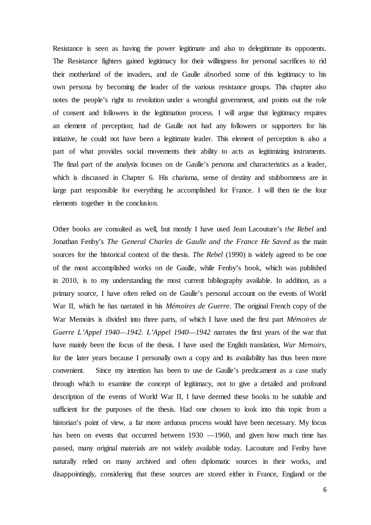Resistance is seen as having the power legitimate and also to delegitimate its opponents. The Resistance fighters gained legitimacy for their willingness for personal sacrifices to rid their motherland of the invaders, and de Gaulle absorbed some of this legitimacy to his own persona by becoming the leader of the various resistance groups. This chapter also notes the people's right to revolution under a wrongful government, and points out the role of consent and followers in the legitimation process. I will argue that legitimacy requires an element of perception; had de Gaulle not had any followers or supporters for his initiative, he could not have been a legitimate leader. This element of perception is also a part of what provides social movements their ability to acts as legitimizing instruments. The final part of the analysis focuses on de Gaulle's persona and characteristics as a leader, which is discussed in Chapter 6. His charisma, sense of destiny and stubbornness are in large part responsible for everything he accomplished for France. I will then tie the four elements together in the conclusion.

Other books are consulted as well, but mostly I have used Jean Lacouture's *the Rebel* and Jonathan Fenby's *The General Charles de Gaulle and the France He Saved* as the main sources for the historical context of the thesis. *The Rebel* (1990) is widely agreed to be one of the most accomplished works on de Gaulle, while Fenby's book, which was published in 2010, is to my understanding the most current bibliography available. In addition, as a primary source, I have often relied on de Gaulle's personal account on the events of World War II, which he has narrated in his *Mémoires de Guerre.* The original French copy of the War Memoirs is divided into three parts, of which I have used the first part *Mémoires de Guerre L'Appel 1940*—*1942. L'Appel 1940*—*1942* narrates the first years of the war that have mainly been the focus of the thesis. I have used the English translation, *War Memoirs*, for the later years because I personally own a copy and its availability has thus been more convenient. Since my intention has been to use de Gaulle's predicament as a case study through which to examine the concept of legitimacy, not to give a detailed and profound description of the events of World War II, I have deemed these books to be suitable and sufficient for the purposes of the thesis. Had one chosen to look into this topic from a historian's point of view, a far more arduous process would have been necessary. My focus has been on events that occurred between 1930 —1960, and given how much time has passed, many original materials are not widely available today. Lacouture and Fenby have naturally relied on many archived and often diplomatic sources in their works, and disappointingly, considering that these sources are stored either in France, England or the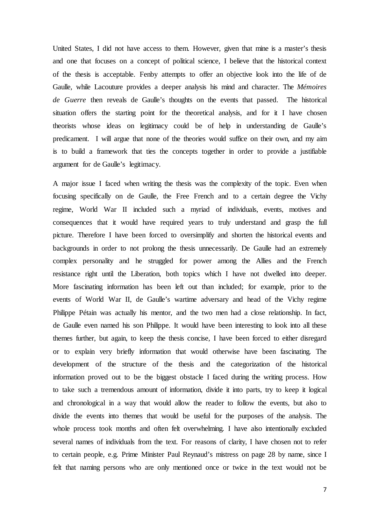United States, I did not have access to them. However, given that mine is a master's thesis and one that focuses on a concept of political science, I believe that the historical context of the thesis is acceptable. Fenby attempts to offer an objective look into the life of de Gaulle, while Lacouture provides a deeper analysis his mind and character. The *Mémoires de Guerre* then reveals de Gaulle's thoughts on the events that passed. The historical situation offers the starting point for the theoretical analysis, and for it I have chosen theorists whose ideas on legitimacy could be of help in understanding de Gaulle's predicament. I will argue that none of the theories would suffice on their own, and my aim is to build a framework that ties the concepts together in order to provide a justifiable argument for de Gaulle's legitimacy.

A major issue I faced when writing the thesis was the complexity of the topic. Even when focusing specifically on de Gaulle, the Free French and to a certain degree the Vichy regime, World War II included such a myriad of individuals, events, motives and consequences that it would have required years to truly understand and grasp the full picture. Therefore I have been forced to oversimplify and shorten the historical events and backgrounds in order to not prolong the thesis unnecessarily. De Gaulle had an extremely complex personality and he struggled for power among the Allies and the French resistance right until the Liberation, both topics which I have not dwelled into deeper. More fascinating information has been left out than included; for example, prior to the events of World War II, de Gaulle's wartime adversary and head of the Vichy regime Philippe Pétain was actually his mentor, and the two men had a close relationship. In fact, de Gaulle even named his son Philippe. It would have been interesting to look into all these themes further, but again, to keep the thesis concise, I have been forced to either disregard or to explain very briefly information that would otherwise have been fascinating. The development of the structure of the thesis and the categorization of the historical information proved out to be the biggest obstacle I faced during the writing process. How to take such a tremendous amount of information, divide it into parts, try to keep it logical and chronological in a way that would allow the reader to follow the events, but also to divide the events into themes that would be useful for the purposes of the analysis. The whole process took months and often felt overwhelming. I have also intentionally excluded several names of individuals from the text. For reasons of clarity, I have chosen not to refer to certain people, e.g. Prime Minister Paul Reynaud's mistress on page 28 by name, since I felt that naming persons who are only mentioned once or twice in the text would not be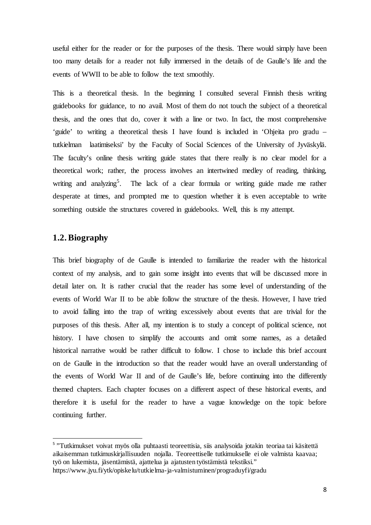useful either for the reader or for the purposes of the thesis. There would simply have been too many details for a reader not fully immersed in the details of de Gaulle's life and the events of WWII to be able to follow the text smoothly.

This is a theoretical thesis. In the beginning I consulted several Finnish thesis writing guidebooks for guidance, to no avail. Most of them do not touch the subject of a theoretical thesis, and the ones that do, cover it with a line or two. In fact, the most comprehensive 'guide' to writing a theoretical thesis I have found is included in 'Ohjeita pro gradu – tutkielman laatimiseksi' by the Faculty of Social Sciences of the University of Jyväskylä. The faculty's online thesis writing guide states that there really is no clear model for a theoretical work; rather, the process involves an intertwined medley of reading, thinking, writing and analyzing<sup>[5](#page-9-0)</sup>. The lack of a clear formula or writing guide made me rather desperate at times, and prompted me to question whether it is even acceptable to write something outside the structures covered in guidebooks. Well, this is my attempt.

#### **1.2. Biography**

This brief biography of de Gaulle is intended to familiarize the reader with the historical context of my analysis, and to gain some insight into events that will be discussed more in detail later on. It is rather crucial that the reader has some level of understanding of the events of World War II to be able follow the structure of the thesis. However, I have tried to avoid falling into the trap of writing excessively about events that are trivial for the purposes of this thesis. After all, my intention is to study a concept of political science, not history. I have chosen to simplify the accounts and omit some names, as a detailed historical narrative would be rather difficult to follow. I chose to include this brief account on de Gaulle in the introduction so that the reader would have an overall understanding of the events of World War II and of de Gaulle's life, before continuing into the differently themed chapters. Each chapter focuses on a different aspect of these historical events, and therefore it is useful for the reader to have a vague knowledge on the topic before continuing further.

<span id="page-9-0"></span><sup>&</sup>lt;sup>5</sup> "Tutkimukset voivat myös olla puhtaasti teoreettisia, siis analysoida jotakin teoriaa tai käsitettä aikaisemman tutkimuskirjallisuuden nojalla. Teoreettiselle tutkimukselle ei ole valmista kaavaa; työ on lukemista, jäsentämistä, ajattelua ja ajatusten työstämistä tekstiksi."

https://www.jyu.fi/ytk/opiskelu/tutkielma-ja-valmistuminen/prograduyfi/gradu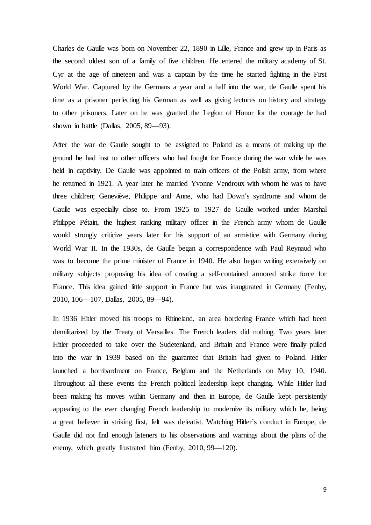Charles de Gaulle was born on November 22, 1890 in Lille, France and grew up in Paris as the second oldest son of a family of five children. He entered the military academy of St. Cyr at the age of nineteen and was a captain by the time he started fighting in the First World War. Captured by the Germans a year and a half into the war, de Gaulle spent his time as a prisoner perfecting his German as well as giving lectures on history and strategy to other prisoners. Later on he was granted the Legion of Honor for the courage he had shown in battle (Dallas, 2005, 89—93).

After the war de Gaulle sought to be assigned to Poland as a means of making up the ground he had lost to other officers who had fought for France during the war while he was held in captivity. De Gaulle was appointed to train officers of the Polish army, from where he returned in 1921. A year later he married Yvonne Vendroux with whom he was to have three children; Geneviève, Philippe and Anne, who had Down's syndrome and whom de Gaulle was especially close to. From 1925 to 1927 de Gaulle worked under Marshal Philippe Pétain, the highest ranking military officer in the French army whom de Gaulle would strongly criticize years later for his support of an armistice with Germany during World War II. In the 1930s, de Gaulle began a correspondence with Paul Reynaud who was to become the prime minister of France in 1940. He also began writing extensively on military subjects proposing his idea of creating a self-contained armored strike force for France. This idea gained little support in France but was inaugurated in Germany (Fenby, 2010, 106—107, Dallas, 2005, 89—94).

In 1936 Hitler moved his troops to Rhineland, an area bordering France which had been demilitarized by the Treaty of Versailles. The French leaders did nothing. Two years later Hitler proceeded to take over the Sudetenland, and Britain and France were finally pulled into the war in 1939 based on the guarantee that Britain had given to Poland. Hitler launched a bombardment on France, Belgium and the Netherlands on May 10, 1940. Throughout all these events the French political leadership kept changing. While Hitler had been making his moves within Germany and then in Europe, de Gaulle kept persistently appealing to the ever changing French leadership to modernize its military which he, being a great believer in striking first, felt was defeatist. Watching Hitler's conduct in Europe, de Gaulle did not find enough listeners to his observations and warnings about the plans of the enemy, which greatly frustrated him (Fenby, 2010, 99—120).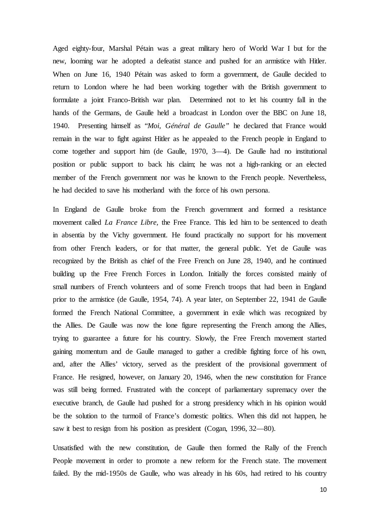Aged eighty-four, Marshal Pétain was a great military hero of World War I but for the new, looming war he adopted a defeatist stance and pushed for an armistice with Hitler. When on June 16, 1940 Pétain was asked to form a government, de Gaulle decided to return to London where he had been working together with the British government to formulate a joint Franco-British war plan. Determined not to let his country fall in the hands of the Germans, de Gaulle held a broadcast in London over the BBC on June 18, 1940. Presenting himself as "*Moi, Général de Gaulle"* he declared that France would remain in the war to fight against Hitler as he appealed to the French people in England to come together and support him (de Gaulle, 1970, 3—4). De Gaulle had no institutional position or public support to back his claim; he was not a high-ranking or an elected member of the French government nor was he known to the French people. Nevertheless, he had decided to save his motherland with the force of his own persona.

In England de Gaulle broke from the French government and formed a resistance movement called *La France Libre,* the Free France*.* This led him to be sentenced to death in absentia by the Vichy government. He found practically no support for his movement from other French leaders, or for that matter, the general public. Yet de Gaulle was recognized by the British as chief of the Free French on June 28, 1940, and he continued building up the Free French Forces in London. Initially the forces consisted mainly of small numbers of French volunteers and of some French troops that had been in England prior to the armistice (de Gaulle, 1954, 74). A year later, on September 22, 1941 de Gaulle formed the French National Committee, a government in exile which was recognized by the Allies. De Gaulle was now the lone figure representing the French among the Allies, trying to guarantee a future for his country. Slowly, the Free French movement started gaining momentum and de Gaulle managed to gather a credible fighting force of his own, and, after the Allies' victory, served as the president of the provisional government of France. He resigned, however, on January 20, 1946, when the new constitution for France was still being formed. Frustrated with the concept of parliamentary supremacy over the executive branch, de Gaulle had pushed for a strong presidency which in his opinion would be the solution to the turmoil of France's domestic politics. When this did not happen, he saw it best to resign from his position as president (Cogan, 1996, 32—80).

Unsatisfied with the new constitution, de Gaulle then formed the Rally of the French People movement in order to promote a new reform for the French state. The movement failed. By the mid-1950s de Gaulle, who was already in his 60s, had retired to his country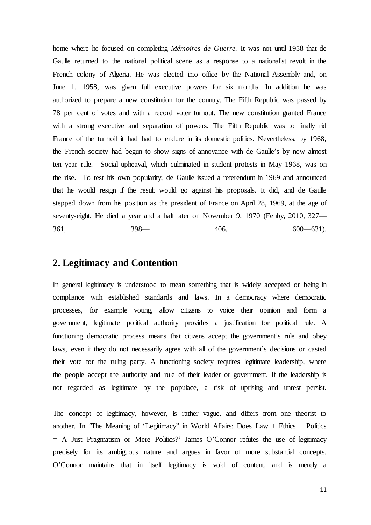home where he focused on completing *Mémoires de Guerre.* It was not until 1958 that de Gaulle returned to the national political scene as a response to a nationalist revolt in the French colony of Algeria. He was elected into office by the National Assembly and, on June 1, 1958, was given full executive powers for six months. In addition he was authorized to prepare a new constitution for the country. The Fifth Republic was passed by 78 per cent of votes and with a record voter turnout. The new constitution granted France with a strong executive and separation of powers. The Fifth Republic was to finally rid France of the turmoil it had had to endure in its domestic politics. Nevertheless, by 1968, the French society had begun to show signs of annoyance with de Gaulle's by now almost ten year rule. Social upheaval, which culminated in student protests in May 1968, was on the rise. To test his own popularity, de Gaulle issued a referendum in 1969 and announced that he would resign if the result would go against his proposals. It did, and de Gaulle stepped down from his position as the president of France on April 28, 1969, at the age of seventy-eight. He died a year and a half later on November 9, 1970 (Fenby, 2010, 327— 361, 398— 406, 600—631).

### <span id="page-12-0"></span>**2. Legitimacy and Contention**

In general legitimacy is understood to mean something that is widely accepted or being in compliance with established standards and laws. In a democracy where democratic processes, for example voting, allow citizens to voice their opinion and form a government, legitimate political authority provides a justification for political rule. A functioning democratic process means that citizens accept the government's rule and obey laws, even if they do not necessarily agree with all of the government's decisions or casted their vote for the ruling party. A functioning society requires legitimate leadership, where the people accept the authority and rule of their leader or government. If the leadership is not regarded as legitimate by the populace, a risk of uprising and unrest persist.

The concept of legitimacy, however, is rather vague, and differs from one theorist to another. In 'The Meaning of "Legitimacy" in World Affairs: Does Law + Ethics + Politics = A Just Pragmatism or Mere Politics?' James O'Connor refutes the use of legitimacy precisely for its ambiguous nature and argues in favor of more substantial concepts. O'Connor maintains that in itself legitimacy is void of content, and is merely a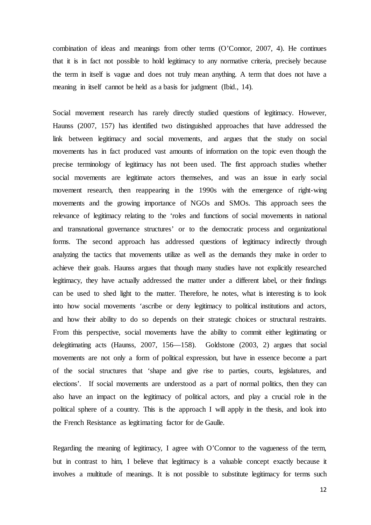combination of ideas and meanings from other terms (O'Connor, 2007, 4). He continues that it is in fact not possible to hold legitimacy to any normative criteria, precisely because the term in itself is vague and does not truly mean anything. A term that does not have a meaning in itself cannot be held as a basis for judgment (Ibid., 14).

Social movement research has rarely directly studied questions of legitimacy. However, Haunss (2007, 157) has identified two distinguished approaches that have addressed the link between legitimacy and social movements, and argues that the study on social movements has in fact produced vast amounts of information on the topic even though the precise terminology of legitimacy has not been used. The first approach studies whether social movements are legitimate actors themselves, and was an issue in early social movement research, then reappearing in the 1990s with the emergence of right-wing movements and the growing importance of NGOs and SMOs. This approach sees the relevance of legitimacy relating to the 'roles and functions of social movements in national and transnational governance structures' or to the democratic process and organizational forms. The second approach has addressed questions of legitimacy indirectly through analyzing the tactics that movements utilize as well as the demands they make in order to achieve their goals. Haunss argues that though many studies have not explicitly researched legitimacy, they have actually addressed the matter under a different label, or their findings can be used to shed light to the matter. Therefore, he notes, what is interesting is to look into how social movements 'ascribe or deny legitimacy to political institutions and actors, and how their ability to do so depends on their strategic choices or structural restraints. From this perspective, social movements have the ability to commit either legitimating or delegitimating acts (Haunss, 2007, 156—158). Goldstone (2003, 2) argues that social movements are not only a form of political expression, but have in essence become a part of the social structures that 'shape and give rise to parties, courts, legislatures, and elections'. If social movements are understood as a part of normal politics, then they can also have an impact on the legitimacy of political actors, and play a crucial role in the political sphere of a country. This is the approach I will apply in the thesis, and look into the French Resistance as legitimating factor for de Gaulle.

Regarding the meaning of legitimacy, I agree with O'Connor to the vagueness of the term, but in contrast to him, I believe that legitimacy is a valuable concept exactly because it involves a multitude of meanings. It is not possible to substitute legitimacy for terms such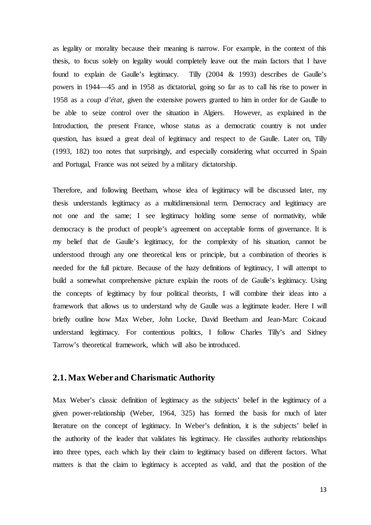as legality or morality because their meaning is narrow. For example, in the context of this thesis, to focus solely on legality would completely leave out the main factors that I have found to explain de Gaulle's legitimacy. Tilly (2004 & 1993) describes de Gaulle's powers in 1944—45 and in 1958 as dictatorial, going so far as to call his rise to power in 1958 as a *coup d'état,* given the extensive powers granted to him in order for de Gaulle to be able to seize control over the situation in Algiers. However, as explained in the Introduction, the present France, whose status as a democratic country is not under question, has issued a great deal of legitimacy and respect to de Gaulle. Later on, Tilly (1993, 182) too notes that surprisingly, and especially considering what occurred in Spain and Portugal, France was not seized by a military dictatorship.

Therefore, and following Beetham, whose idea of legitimacy will be discussed later, my thesis understands legitimacy as a multidimensional term. Democracy and legitimacy are not one and the same; I see legitimacy holding some sense of normativity, while democracy is the product of people's agreement on acceptable forms of governance. It is my belief that de Gaulle's legitimacy, for the complexity of his situation, cannot be understood through any one theoretical lens or principle, but a combination of theories is needed for the full picture. Because of the hazy definitions of legitimacy, I will attempt to build a somewhat comprehensive picture explain the roots of de Gaulle's legitimacy. Using the concepts of legitimacy by four political theorists, I will combine their ideas into a framework that allows us to understand why de Gaulle was a legitimate leader. Here I will briefly outline how Max Weber, John Locke, David Beetham and Jean-Marc Coicaud understand legitimacy. For contentious politics, I follow Charles Tilly's and Sidney Tarrow's theoretical framework, which will also be introduced.

#### <span id="page-14-0"></span>**2.1. Max Weber and Charismatic Authority**

Max Weber's classic definition of legitimacy as the subjects' belief in the legitimacy of a given power-relationship (Weber, 1964, 325) has formed the basis for much of later literature on the concept of legitimacy. In Weber's definition, it is the subjects' belief in the authority of the leader that validates his legitimacy. He classifies authority relationships into three types, each which lay their claim to legitimacy based on different factors. What matters is that the claim to legitimacy is accepted as valid, and that the position of the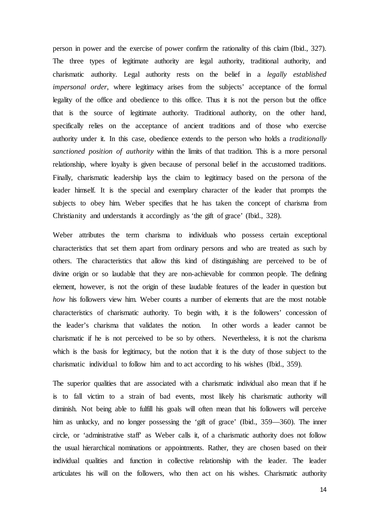person in power and the exercise of power confirm the rationality of this claim (Ibid., 327). The three types of legitimate authority are legal authority, traditional authority, and charismatic authority. Legal authority rests on the belief in a *legally established impersonal order*, where legitimacy arises from the subjects' acceptance of the formal legality of the office and obedience to this office. Thus it is not the person but the office that is the source of legitimate authority. Traditional authority, on the other hand, specifically relies on the acceptance of ancient traditions and of those who exercise authority under it. In this case, obedience extends to the person who holds a *traditionally sanctioned position of authority* within the limits of that tradition. This is a more personal relationship, where loyalty is given because of personal belief in the accustomed traditions. Finally, charismatic leadership lays the claim to legitimacy based on the persona of the leader himself. It is the special and exemplary character of the leader that prompts the subjects to obey him. Weber specifies that he has taken the concept of charisma from Christianity and understands it accordingly as 'the gift of grace' (Ibid., 328).

Weber attributes the term charisma to individuals who possess certain exceptional characteristics that set them apart from ordinary persons and who are treated as such by others. The characteristics that allow this kind of distinguishing are perceived to be of divine origin or so laudable that they are non-achievable for common people. The defining element, however, is not the origin of these laudable features of the leader in question but *how* his followers view him. Weber counts a number of elements that are the most notable characteristics of charismatic authority. To begin with, it is the followers' concession of the leader's charisma that validates the notion. In other words a leader cannot be charismatic if he is not perceived to be so by others. Nevertheless, it is not the charisma which is the basis for legitimacy, but the notion that it is the duty of those subject to the charismatic individual to follow him and to act according to his wishes (Ibid., 359).

The superior qualities that are associated with a charismatic individual also mean that if he is to fall victim to a strain of bad events, most likely his charismatic authority will diminish. Not being able to fulfill his goals will often mean that his followers will perceive him as unlucky, and no longer possessing the 'gift of grace' (Ibid., 359—360). The inner circle, or 'administrative staff' as Weber calls it, of a charismatic authority does not follow the usual hierarchical nominations or appointments. Rather, they are chosen based on their individual qualities and function in collective relationship with the leader. The leader articulates his will on the followers, who then act on his wishes. Charismatic authority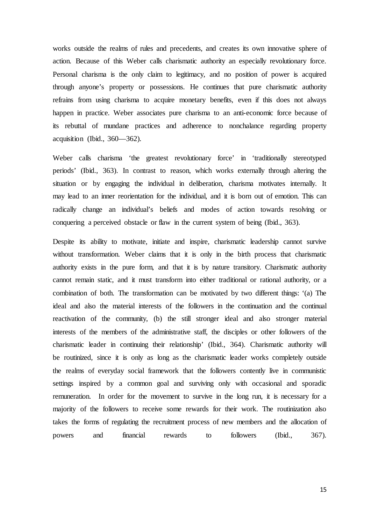works outside the realms of rules and precedents, and creates its own innovative sphere of action. Because of this Weber calls charismatic authority an especially revolutionary force. Personal charisma is the only claim to legitimacy, and no position of power is acquired through anyone's property or possessions. He continues that pure charismatic authority refrains from using charisma to acquire monetary benefits, even if this does not always happen in practice. Weber associates pure charisma to an anti-economic force because of its rebuttal of mundane practices and adherence to nonchalance regarding property acquisition (Ibid., 360—362).

Weber calls charisma 'the greatest revolutionary force' in 'traditionally stereotyped periods' (Ibid., 363). In contrast to reason, which works externally through altering the situation or by engaging the individual in deliberation, charisma motivates internally. It may lead to an inner reorientation for the individual, and it is born out of emotion. This can radically change an individual's beliefs and modes of action towards resolving or conquering a perceived obstacle or flaw in the current system of being (Ibid., 363).

Despite its ability to motivate, initiate and inspire, charismatic leadership cannot survive without transformation. Weber claims that it is only in the birth process that charismatic authority exists in the pure form, and that it is by nature transitory. Charismatic authority cannot remain static, and it must transform into either traditional or rational authority, or a combination of both. The transformation can be motivated by two different things: '(a) The ideal and also the material interests of the followers in the continuation and the continual reactivation of the community, (b) the still stronger ideal and also stronger material interests of the members of the administrative staff, the disciples or other followers of the charismatic leader in continuing their relationship' (Ibid., 364). Charismatic authority will be routinized, since it is only as long as the charismatic leader works completely outside the realms of everyday social framework that the followers contently live in communistic settings inspired by a common goal and surviving only with occasional and sporadic remuneration. In order for the movement to survive in the long run, it is necessary for a majority of the followers to receive some rewards for their work. The routinization also takes the forms of regulating the recruitment process of new members and the allocation of powers and financial rewards to followers (Ibid., 367).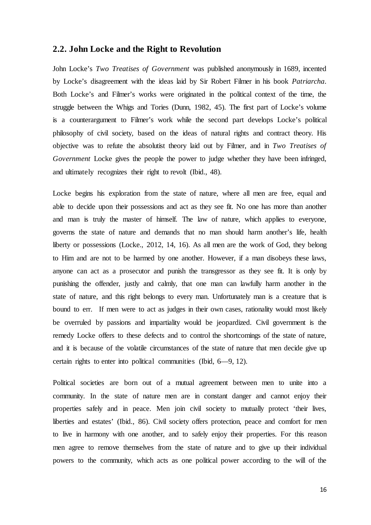#### **2.2. John Locke and the Right to Revolution**

John Locke's *Two Treatises of Government* was published anonymously in 1689, incented by Locke's disagreement with the ideas laid by Sir Robert Filmer in his book *Patriarcha*. Both Locke's and Filmer's works were originated in the political context of the time, the struggle between the Whigs and Tories (Dunn, 1982, 45). The first part of Locke's volume is a counterargument to Filmer's work while the second part develops Locke's political philosophy of civil society, based on the ideas of natural rights and contract theory. His objective was to refute the absolutist theory laid out by Filmer, and in *Two Treatises of Government* Locke gives the people the power to judge whether they have been infringed, and ultimately recognizes their right to revolt (Ibid., 48).

Locke begins his exploration from the state of nature, where all men are free, equal and able to decide upon their possessions and act as they see fit. No one has more than another and man is truly the master of himself. The law of nature, which applies to everyone, governs the state of nature and demands that no man should harm another's life, health liberty or possessions (Locke., 2012, 14, 16). As all men are the work of God, they belong to Him and are not to be harmed by one another. However, if a man disobeys these laws, anyone can act as a prosecutor and punish the transgressor as they see fit. It is only by punishing the offender, justly and calmly, that one man can lawfully harm another in the state of nature, and this right belongs to every man. Unfortunately man is a creature that is bound to err. If men were to act as judges in their own cases, rationality would most likely be overruled by passions and impartiality would be jeopardized. Civil government is the remedy Locke offers to these defects and to control the shortcomings of the state of nature, and it is because of the volatile circumstances of the state of nature that men decide give up certain rights to enter into political communities (Ibid, 6—9, 12).

Political societies are born out of a mutual agreement between men to unite into a community. In the state of nature men are in constant danger and cannot enjoy their properties safely and in peace. Men join civil society to mutually protect 'their lives, liberties and estates' (Ibid., 86). Civil society offers protection, peace and comfort for men to live in harmony with one another, and to safely enjoy their properties. For this reason men agree to remove themselves from the state of nature and to give up their individual powers to the community, which acts as one political power according to the will of the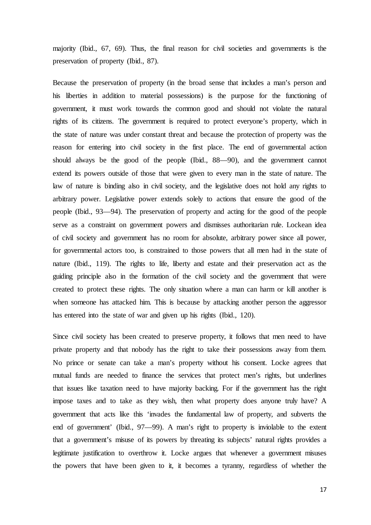majority (Ibid., 67, 69). Thus, the final reason for civil societies and governments is the preservation of property (Ibid., 87).

Because the preservation of property (in the broad sense that includes a man's person and his liberties in addition to material possessions) is the purpose for the functioning of government, it must work towards the common good and should not violate the natural rights of its citizens. The government is required to protect everyone's property, which in the state of nature was under constant threat and because the protection of property was the reason for entering into civil society in the first place. The end of governmental action should always be the good of the people (Ibid., 88—90), and the government cannot extend its powers outside of those that were given to every man in the state of nature. The law of nature is binding also in civil society, and the legislative does not hold any rights to arbitrary power. Legislative power extends solely to actions that ensure the good of the people (Ibid., 93—94). The preservation of property and acting for the good of the people serve as a constraint on government powers and dismisses authoritarian rule. Lockean idea of civil society and government has no room for absolute, arbitrary power since all power, for governmental actors too, is constrained to those powers that all men had in the state of nature (Ibid., 119). The rights to life, liberty and estate and their preservation act as the guiding principle also in the formation of the civil society and the government that were created to protect these rights. The only situation where a man can harm or kill another is when someone has attacked him. This is because by attacking another person the aggressor has entered into the state of war and given up his rights (Ibid., 120).

Since civil society has been created to preserve property, it follows that men need to have private property and that nobody has the right to take their possessions away from them. No prince or senate can take a man's property without his consent. Locke agrees that mutual funds are needed to finance the services that protect men's rights, but underlines that issues like taxation need to have majority backing. For if the government has the right impose taxes and to take as they wish, then what property does anyone truly have? A government that acts like this 'invades the fundamental law of property, and subverts the end of government' (Ibid., 97—99). A man's right to property is inviolable to the extent that a government's misuse of its powers by threating its subjects' natural rights provides a legitimate justification to overthrow it. Locke argues that whenever a government misuses the powers that have been given to it, it becomes a tyranny, regardless of whether the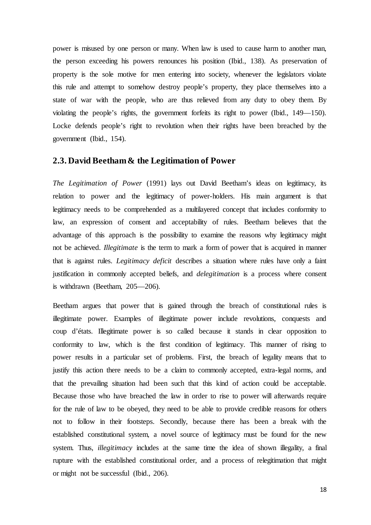power is misused by one person or many. When law is used to cause harm to another man, the person exceeding his powers renounces his position (Ibid., 138). As preservation of property is the sole motive for men entering into society, whenever the legislators violate this rule and attempt to somehow destroy people's property, they place themselves into a state of war with the people, who are thus relieved from any duty to obey them. By violating the people's rights, the government forfeits its right to power (Ibid., 149—150). Locke defends people's right to revolution when their rights have been breached by the government (Ibid., 154).

#### <span id="page-19-0"></span>**2.3. David Beetham& the Legitimation of Power**

*The Legitimation of Power* (1991) lays out David Beetham's ideas on legitimacy, its relation to power and the legitimacy of power-holders. His main argument is that legitimacy needs to be comprehended as a multilayered concept that includes conformity to law, an expression of consent and acceptability of rules. Beetham believes that the advantage of this approach is the possibility to examine the reasons why legitimacy might not be achieved. *Illegitimate* is the term to mark a form of power that is acquired in manner that is against rules. *Legitimacy deficit* describes a situation where rules have only a faint justification in commonly accepted beliefs, and *delegitimation* is a process where consent is withdrawn (Beetham, 205—206).

Beetham argues that power that is gained through the breach of constitutional rules is illegitimate power. Examples of illegitimate power include revolutions, conquests and coup d'états. Illegitimate power is so called because it stands in clear opposition to conformity to law, which is the first condition of legitimacy. This manner of rising to power results in a particular set of problems. First, the breach of legality means that to justify this action there needs to be a claim to commonly accepted, extra-legal norms, and that the prevailing situation had been such that this kind of action could be acceptable. Because those who have breached the law in order to rise to power will afterwards require for the rule of law to be obeyed, they need to be able to provide credible reasons for others not to follow in their footsteps. Secondly, because there has been a break with the established constitutional system, a novel source of legitimacy must be found for the new system. Thus, *illegitimacy* includes at the same time the idea of shown illegality, a final rupture with the established constitutional order, and a process of relegitimation that might or might not be successful (Ibid., 206).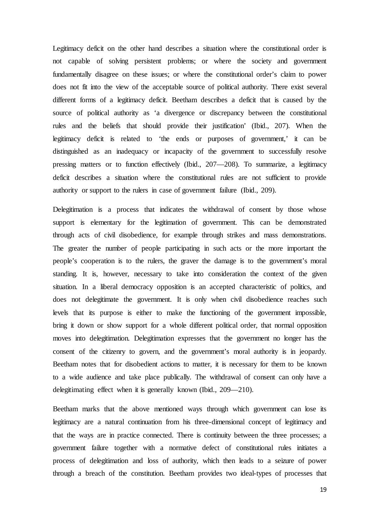Legitimacy deficit on the other hand describes a situation where the constitutional order is not capable of solving persistent problems; or where the society and government fundamentally disagree on these issues; or where the constitutional order's claim to power does not fit into the view of the acceptable source of political authority. There exist several different forms of a legitimacy deficit. Beetham describes a deficit that is caused by the source of political authority as 'a divergence or discrepancy between the constitutional rules and the beliefs that should provide their justification' (Ibid., 207). When the legitimacy deficit is related to 'the ends or purposes of government,' it can be distinguished as an inadequacy or incapacity of the government to successfully resolve pressing matters or to function effectively (Ibid., 207—208). To summarize, a legitimacy deficit describes a situation where the constitutional rules are not sufficient to provide authority or support to the rulers in case of government failure (Ibid., 209).

Delegitimation is a process that indicates the withdrawal of consent by those whose support is elementary for the legitimation of government. This can be demonstrated through acts of civil disobedience, for example through strikes and mass demonstrations. The greater the number of people participating in such acts or the more important the people's cooperation is to the rulers, the graver the damage is to the government's moral standing. It is, however, necessary to take into consideration the context of the given situation. In a liberal democracy opposition is an accepted characteristic of politics, and does not delegitimate the government. It is only when civil disobedience reaches such levels that its purpose is either to make the functioning of the government impossible, bring it down or show support for a whole different political order, that normal opposition moves into delegitimation. Delegitimation expresses that the government no longer has the consent of the citizenry to govern, and the government's moral authority is in jeopardy. Beetham notes that for disobedient actions to matter, it is necessary for them to be known to a wide audience and take place publically. The withdrawal of consent can only have a delegitimating effect when it is generally known (Ibid., 209—210).

Beetham marks that the above mentioned ways through which government can lose its legitimacy are a natural continuation from his three-dimensional concept of legitimacy and that the ways are in practice connected. There is continuity between the three processes; a government failure together with a normative defect of constitutional rules initiates a process of delegitimation and loss of authority, which then leads to a seizure of power through a breach of the constitution. Beetham provides two ideal-types of processes that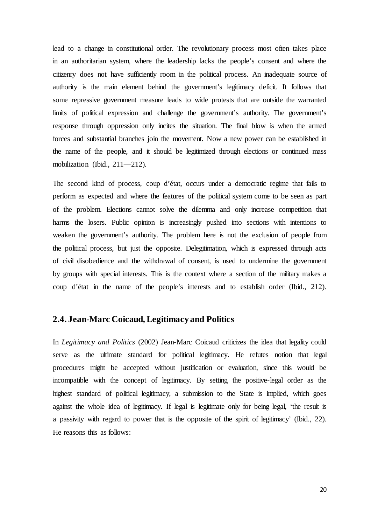lead to a change in constitutional order. The revolutionary process most often takes place in an authoritarian system, where the leadership lacks the people's consent and where the citizenry does not have sufficiently room in the political process. An inadequate source of authority is the main element behind the government's legitimacy deficit. It follows that some repressive government measure leads to wide protests that are outside the warranted limits of political expression and challenge the government's authority. The government's response through oppression only incites the situation. The final blow is when the armed forces and substantial branches join the movement. Now a new power can be established in the name of the people, and it should be legitimized through elections or continued mass mobilization (Ibid., 211—212).

The second kind of process, coup d'état, occurs under a democratic regime that fails to perform as expected and where the features of the political system come to be seen as part of the problem. Elections cannot solve the dilemma and only increase competition that harms the losers. Public opinion is increasingly pushed into sections with intentions to weaken the government's authority. The problem here is not the exclusion of people from the political process, but just the opposite. Delegitimation, which is expressed through acts of civil disobedience and the withdrawal of consent, is used to undermine the government by groups with special interests. This is the context where a section of the military makes a coup d'état in the name of the people's interests and to establish order (Ibid., 212).

#### <span id="page-21-0"></span>**2.4. Jean-Marc Coicaud, Legitimacy and Politics**

In *Legitimacy and Politics* (2002) Jean-Marc Coicaud criticizes the idea that legality could serve as the ultimate standard for political legitimacy. He refutes notion that legal procedures might be accepted without justification or evaluation, since this would be incompatible with the concept of legitimacy. By setting the positive-legal order as the highest standard of political legitimacy, a submission to the State is implied, which goes against the whole idea of legitimacy. If legal is legitimate only for being legal, 'the result is a passivity with regard to power that is the opposite of the spirit of legitimacy' (Ibid., 22). He reasons this as follows: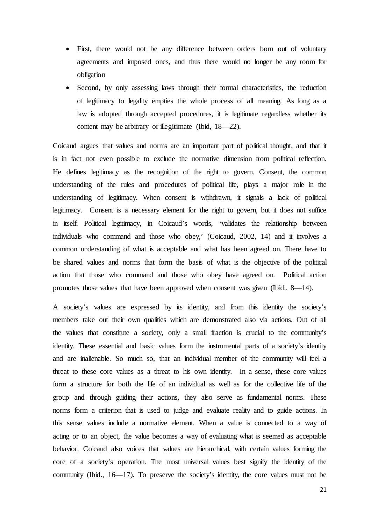- First, there would not be any difference between orders born out of voluntary agreements and imposed ones, and thus there would no longer be any room for obligation
- Second, by only assessing laws through their formal characteristics, the reduction of legitimacy to legality empties the whole process of all meaning. As long as a law is adopted through accepted procedures, it is legitimate regardless whether its content may be arbitrary or illegitimate (Ibid, 18—22).

Coicaud argues that values and norms are an important part of political thought, and that it is in fact not even possible to exclude the normative dimension from political reflection. He defines legitimacy as the recognition of the right to govern. Consent, the common understanding of the rules and procedures of political life, plays a major role in the understanding of legitimacy. When consent is withdrawn, it signals a lack of political legitimacy. Consent is a necessary element for the right to govern, but it does not suffice in itself. Political legitimacy, in Coicaud's words, 'validates the relationship between individuals who command and those who obey,' (Coicaud, 2002, 14) and it involves a common understanding of what is acceptable and what has been agreed on. There have to be shared values and norms that form the basis of what is the objective of the political action that those who command and those who obey have agreed on. Political action promotes those values that have been approved when consent was given (Ibid., 8—14).

A society's values are expressed by its identity, and from this identity the society's members take out their own qualities which are demonstrated also via actions. Out of all the values that constitute a society, only a small fraction is crucial to the community's identity. These essential and basic values form the instrumental parts of a society's identity and are inalienable. So much so, that an individual member of the community will feel a threat to these core values as a threat to his own identity. In a sense, these core values form a structure for both the life of an individual as well as for the collective life of the group and through guiding their actions, they also serve as fundamental norms. These norms form a criterion that is used to judge and evaluate reality and to guide actions. In this sense values include a normative element. When a value is connected to a way of acting or to an object, the value becomes a way of evaluating what is seemed as acceptable behavior. Coicaud also voices that values are hierarchical, with certain values forming the core of a society's operation. The most universal values best signify the identity of the community (Ibid., 16—17). To preserve the society's identity, the core values must not be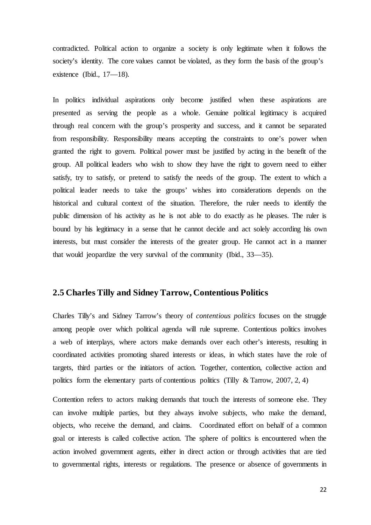contradicted. Political action to organize a society is only legitimate when it follows the society's identity. The core values cannot be violated, as they form the basis of the group's existence (Ibid., 17—18).

In politics individual aspirations only become justified when these aspirations are presented as serving the people as a whole. Genuine political legitimacy is acquired through real concern with the group's prosperity and success, and it cannot be separated from responsibility. Responsibility means accepting the constraints to one's power when granted the right to govern. Political power must be justified by acting in the benefit of the group. All political leaders who wish to show they have the right to govern need to either satisfy, try to satisfy, or pretend to satisfy the needs of the group. The extent to which a political leader needs to take the groups' wishes into considerations depends on the historical and cultural context of the situation. Therefore, the ruler needs to identify the public dimension of his activity as he is not able to do exactly as he pleases. The ruler is bound by his legitimacy in a sense that he cannot decide and act solely according his own interests, but must consider the interests of the greater group. He cannot act in a manner that would jeopardize the very survival of the community (Ibid., 33—35).

#### **2.5 Charles Tilly and Sidney Tarrow, Contentious Politics**

Charles Tilly's and Sidney Tarrow's theory of *contentious politics* focuses on the struggle among people over which political agenda will rule supreme. Contentious politics involves a web of interplays, where actors make demands over each other's interests, resulting in coordinated activities promoting shared interests or ideas, in which states have the role of targets, third parties or the initiators of action. Together, contention, collective action and politics form the elementary parts of contentious politics (Tilly  $& Tarrow, 2007, 2, 4)$ 

Contention refers to actors making demands that touch the interests of someone else. They can involve multiple parties, but they always involve subjects, who make the demand, objects, who receive the demand, and claims. Coordinated effort on behalf of a common goal or interests is called collective action. The sphere of politics is encountered when the action involved government agents, either in direct action or through activities that are tied to governmental rights, interests or regulations. The presence or absence of governments in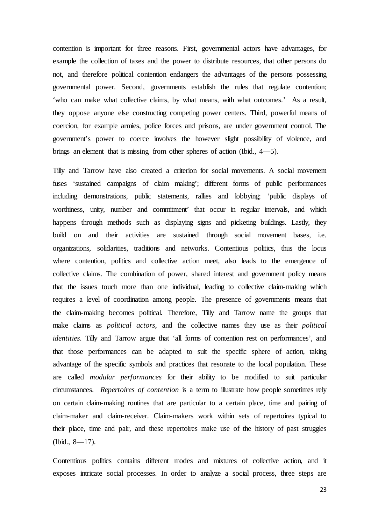contention is important for three reasons. First, governmental actors have advantages, for example the collection of taxes and the power to distribute resources, that other persons do not, and therefore political contention endangers the advantages of the persons possessing governmental power. Second, governments establish the rules that regulate contention; 'who can make what collective claims, by what means, with what outcomes.' As a result, they oppose anyone else constructing competing power centers. Third, powerful means of coercion, for example armies, police forces and prisons, are under government control. The government's power to coerce involves the however slight possibility of violence, and brings an element that is missing from other spheres of action (Ibid., 4—5).

Tilly and Tarrow have also created a criterion for social movements. A social movement fuses 'sustained campaigns of claim making'; different forms of public performances including demonstrations, public statements, rallies and lobbying; 'public displays of worthiness, unity, number and commitment' that occur in regular intervals, and which happens through methods such as displaying signs and picketing buildings. Lastly, they build on and their activities are sustained through social movement bases, i.e. organizations, solidarities, traditions and networks. Contentious politics, thus the locus where contention, politics and collective action meet, also leads to the emergence of collective claims. The combination of power, shared interest and government policy means that the issues touch more than one individual, leading to collective claim-making which requires a level of coordination among people. The presence of governments means that the claim-making becomes political. Therefore, Tilly and Tarrow name the groups that make claims as *political actors*, and the collective names they use as their *political identities*. Tilly and Tarrow argue that 'all forms of contention rest on performances', and that those performances can be adapted to suit the specific sphere of action, taking advantage of the specific symbols and practices that resonate to the local population. These are called *modular performances* for their ability to be modified to suit particular circumstances. *Repertoires of contention* is a term to illustrate how people sometimes rely on certain claim-making routines that are particular to a certain place, time and pairing of claim-maker and claim-receiver. Claim-makers work within sets of repertoires typical to their place, time and pair, and these repertoires make use of the history of past struggles (Ibid., 8—17).

Contentious politics contains different modes and mixtures of collective action, and it exposes intricate social processes. In order to analyze a social process, three steps are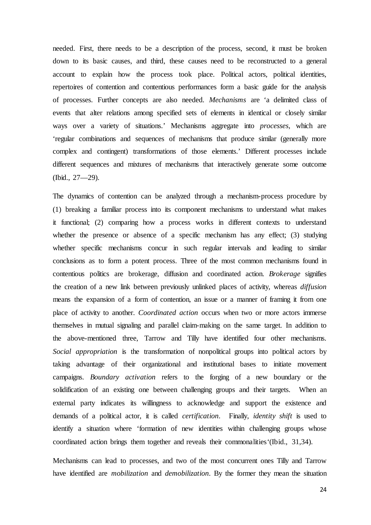needed. First, there needs to be a description of the process, second, it must be broken down to its basic causes, and third, these causes need to be reconstructed to a general account to explain how the process took place. Political actors, political identities, repertoires of contention and contentious performances form a basic guide for the analysis of processes. Further concepts are also needed. *Mechanisms* are 'a delimited class of events that alter relations among specified sets of elements in identical or closely similar ways over a variety of situations.' Mechanisms aggregate into *processes*, which are 'regular combinations and sequences of mechanisms that produce similar (generally more complex and contingent) transformations of those elements.' Different processes include different sequences and mixtures of mechanisms that interactively generate some outcome (Ibid., 27—29).

The dynamics of contention can be analyzed through a mechanism-process procedure by (1) breaking a familiar process into its component mechanisms to understand what makes it functional; (2) comparing how a process works in different contexts to understand whether the presence or absence of a specific mechanism has any effect; (3) studying whether specific mechanisms concur in such regular intervals and leading to similar conclusions as to form a potent process. Three of the most common mechanisms found in contentious politics are brokerage, diffusion and coordinated action. *Brokerage* signifies the creation of a new link between previously unlinked places of activity, whereas *diffusion*  means the expansion of a form of contention, an issue or a manner of framing it from one place of activity to another. *Coordinated action* occurs when two or more actors immerse themselves in mutual signaling and parallel claim-making on the same target. In addition to the above-mentioned three, Tarrow and Tilly have identified four other mechanisms. *Social appropriation* is the transformation of nonpolitical groups into political actors by taking advantage of their organizational and institutional bases to initiate movement campaigns. *Boundary activation* refers to the forging of a new boundary or the solidification of an existing one between challenging groups and their targets. When an external party indicates its willingness to acknowledge and support the existence and demands of a political actor, it is called *certification*. Finally, *identity shift* is used to identify a situation where 'formation of new identities within challenging groups whose coordinated action brings them together and reveals their commonalities'(Ibid., 31,34).

Mechanisms can lead to processes, and two of the most concurrent ones Tilly and Tarrow have identified are *mobilization* and *demobilization*. By the former they mean the situation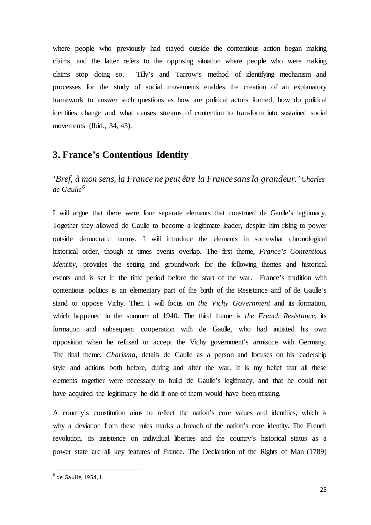where people who previously had stayed outside the contentious action began making claims, and the latter refers to the opposing situation where people who were making claims stop doing so. Tilly's and Tarrow's method of identifying mechanism and processes for the study of social movements enables the creation of an explanatory framework to answer such questions as how are political actors formed, how do political identities change and what causes streams of contention to transform into sustained social movements (Ibid., 34, 43).

## <span id="page-26-0"></span>**3. France's Contentious Identity**

*'Bref, à mon sens, la France ne peut être la France sans la grandeur.' Charles de Gaulle[6](#page-26-1)*

I will argue that there were four separate elements that construed de Gaulle's legitimacy. Together they allowed de Gaulle to become a legitimate leader, despite him rising to power outside democratic norms. I will introduce the elements in somewhat chronological historical order, though at times events overlap. The first theme, *France's Contentious Identity*, provides the setting and groundwork for the following themes and historical events and is set in the time period before the start of the war. France's tradition with contentious politics is an elementary part of the birth of the Resistance and of de Gaulle's stand to oppose Vichy. Then I will focus on *the Vichy Government* and its formation, which happened in the summer of 1940. The third theme is *the French Resistance*, its formation and subsequent cooperation with de Gaulle, who had initiated his own opposition when he refused to accept the Vichy government's armistice with Germany. The final theme, *Charisma*, details de Gaulle as a person and focuses on his leadership style and actions both before, during and after the war. It is my belief that all these elements together were necessary to build de Gaulle's legitimacy, and that he could not have acquired the legitimacy he did if one of them would have been missing.

A country's constitution aims to reflect the nation's core values and identities, which is why a deviation from these rules marks a breach of the nation's core identity. The French revolution, its insistence on individual liberties and the country's historical status as a power state are all key features of France. The Declaration of the Rights of Man (1789)

<span id="page-26-1"></span> $<sup>6</sup>$  de Gaulle, 1954, 1</sup>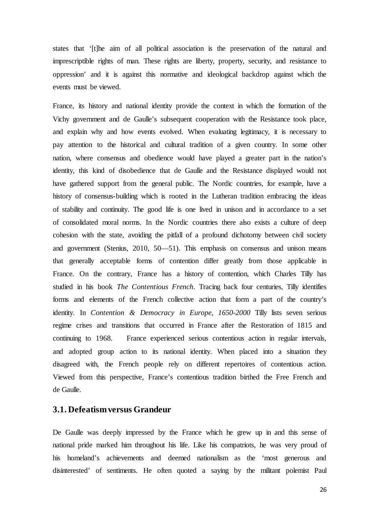states that '[t]he aim of all political association is the preservation of the natural and imprescriptible rights of man. These rights are liberty, property, security, and resistance to oppression' and it is against this normative and ideological backdrop against which the events must be viewed.

France, its history and national identity provide the context in which the formation of the Vichy government and de Gaulle's subsequent cooperation with the Resistance took place, and explain why and how events evolved. When evaluating legitimacy, it is necessary to pay attention to the historical and cultural tradition of a given country. In some other nation, where consensus and obedience would have played a greater part in the nation's identity, this kind of disobedience that de Gaulle and the Resistance displayed would not have gathered support from the general public. The Nordic countries, for example, have a history of consensus-building which is rooted in the Lutheran tradition embracing the ideas of stability and continuity. The good life is one lived in unison and in accordance to a set of consolidated moral norms. In the Nordic countries there also exists a culture of deep cohesion with the state, avoiding the pitfall of a profound dichotomy between civil society and government (Stenius, 2010, 50—51). This emphasis on consensus and unison means that generally acceptable forms of contention differ greatly from those applicable in France. On the contrary, France has a history of contention, which Charles Tilly has studied in his book *The Contentious French*. Tracing back four centuries, Tilly identifies forms and elements of the French collective action that form a part of the country's identity. In *Contention & Democracy in Europe, 1650-2000* Tilly lists seven serious regime crises and transitions that occurred in France after the Restoration of 1815 and continuing to 1968. France experienced serious contentious action in regular intervals, and adopted group action to its national identity. When placed into a situation they disagreed with, the French people rely on different repertoires of contentious action. Viewed from this perspective, France's contentious tradition birthed the Free French and de Gaulle.

#### <span id="page-27-0"></span>**3.1. Defeatism versus Grandeur**

De Gaulle was deeply impressed by the France which he grew up in and this sense of national pride marked him throughout his life. Like his compatriots, he was very proud of his homeland's achievements and deemed nationalism as the 'most generous and disinterested' of sentiments. He often quoted a saying by the militant polemist Paul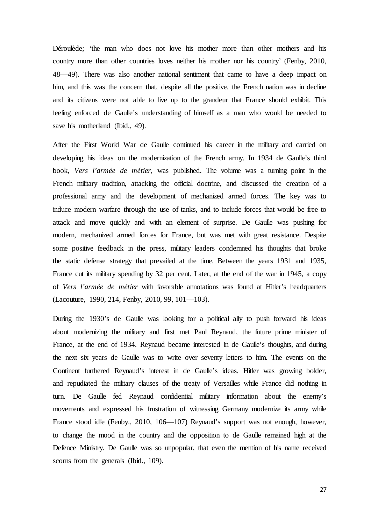Déroulède; 'the man who does not love his mother more than other mothers and his country more than other countries loves neither his mother nor his country' (Fenby, 2010, 48—49). There was also another national sentiment that came to have a deep impact on him, and this was the concern that, despite all the positive, the French nation was in decline and its citizens were not able to live up to the grandeur that France should exhibit. This feeling enforced de Gaulle's understanding of himself as a man who would be needed to save his motherland (Ibid., 49).

After the First World War de Gaulle continued his career in the military and carried on developing his ideas on the modernization of the French army. In 1934 de Gaulle's third book, *Vers l'armée de métier*, was published. The volume was a turning point in the French military tradition, attacking the official doctrine, and discussed the creation of a professional army and the development of mechanized armed forces. The key was to induce modern warfare through the use of tanks, and to include forces that would be free to attack and move quickly and with an element of surprise. De Gaulle was pushing for modern, mechanized armed forces for France, but was met with great resistance. Despite some positive feedback in the press, military leaders condemned his thoughts that broke the static defense strategy that prevailed at the time. Between the years 1931 and 1935, France cut its military spending by 32 per cent. Later, at the end of the war in 1945, a copy of *Vers l'armée de métier* with favorable annotations was found at Hitler's headquarters (Lacouture, 1990, 214, Fenby, 2010, 99, 101—103).

During the 1930's de Gaulle was looking for a political ally to push forward his ideas about modernizing the military and first met Paul Reynaud, the future prime minister of France, at the end of 1934. Reynaud became interested in de Gaulle's thoughts, and during the next six years de Gaulle was to write over seventy letters to him. The events on the Continent furthered Reynaud's interest in de Gaulle's ideas. Hitler was growing bolder, and repudiated the military clauses of the treaty of Versailles while France did nothing in turn. De Gaulle fed Reynaud confidential military information about the enemy's movements and expressed his frustration of witnessing Germany modernize its army while France stood idle (Fenby., 2010, 106—107) Reynaud's support was not enough, however, to change the mood in the country and the opposition to de Gaulle remained high at the Defence Ministry. De Gaulle was so unpopular, that even the mention of his name received scorns from the generals (Ibid., 109).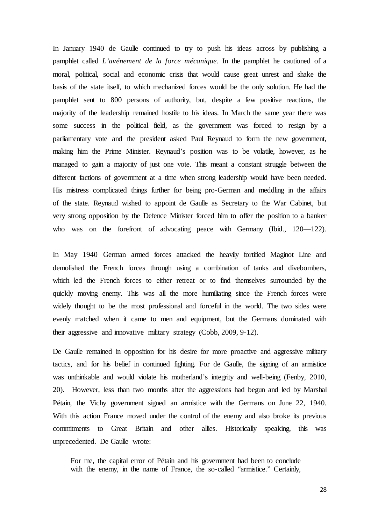In January 1940 de Gaulle continued to try to push his ideas across by publishing a pamphlet called *L'avénement de la force mécanique*. In the pamphlet he cautioned of a moral, political, social and economic crisis that would cause great unrest and shake the basis of the state itself, to which mechanized forces would be the only solution. He had the pamphlet sent to 800 persons of authority, but, despite a few positive reactions, the majority of the leadership remained hostile to his ideas. In March the same year there was some success in the political field, as the government was forced to resign by a parliamentary vote and the president asked Paul Reynaud to form the new government, making him the Prime Minister. Reynaud's position was to be volatile, however, as he managed to gain a majority of just one vote. This meant a constant struggle between the different factions of government at a time when strong leadership would have been needed. His mistress complicated things further for being pro-German and meddling in the affairs of the state. Reynaud wished to appoint de Gaulle as Secretary to the War Cabinet, but very strong opposition by the Defence Minister forced him to offer the position to a banker who was on the forefront of advocating peace with Germany (Ibid., 120—122).

In May 1940 German armed forces attacked the heavily fortified Maginot Line and demolished the French forces through using a combination of tanks and divebombers, which led the French forces to either retreat or to find themselves surrounded by the quickly moving enemy. This was all the more humiliating since the French forces were widely thought to be the most professional and forceful in the world. The two sides were evenly matched when it came to men and equipment, but the Germans dominated with their aggressive and innovative military strategy (Cobb, 2009, 9-12).

De Gaulle remained in opposition for his desire for more proactive and aggressive military tactics, and for his belief in continued fighting. For de Gaulle, the signing of an armistice was unthinkable and would violate his motherland's integrity and well-being (Fenby, 2010, 20). However, less than two months after the aggressions had begun and led by Marshal Pétain, the Vichy government signed an armistice with the Germans on June 22, 1940. With this action France moved under the control of the enemy and also broke its previous commitments to Great Britain and other allies. Historically speaking, this was unprecedented. De Gaulle wrote:

For me, the capital error of Pétain and his government had been to conclude with the enemy, in the name of France, the so-called "armistice." Certainly,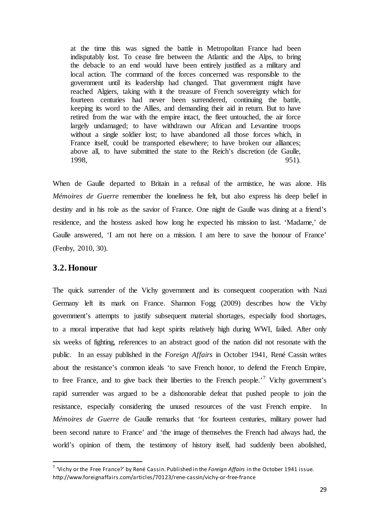at the time this was signed the battle in Metropolitan France had been indisputably lost. To cease fire between the Atlantic and the Alps, to bring the debacle to an end would have been entirely justified as a military and local action. The command of the forces concerned was responsible to the government until its leadership had changed. That government might have reached Algiers, taking with it the treasure of French sovereignty which for fourteen centuries had never been surrendered, continuing the battle, keeping its word to the Allies, and demanding their aid in return. But to have retired from the war with the empire intact, the fleet untouched, the air force largely undamaged; to have withdrawn our African and Levantine troops without a single soldier lost; to have abandoned all those forces which, in France itself, could be transported elsewhere; to have broken our alliances; above all, to have submitted the state to the Reich's discretion (de Gaulle, 1998, 951).

When de Gaulle departed to Britain in a refusal of the armistice, he was alone. His *Mémoires de Guerre* remember the loneliness he felt, but also express his deep belief in destiny and in his role as the savior of France. One night de Gaulle was dining at a friend's residence, and the hostess asked how long he expected his mission to last. 'Madame,' de Gaulle answered, 'I am not here on a mission. I am here to save the honour of France' (Fenby, 2010, 30).

#### <span id="page-30-0"></span>**3.2. Honour**

The quick surrender of the Vichy government and its consequent cooperation with Nazi Germany left its mark on France. Shannon Fogg (2009) describes how the Vichy government's attempts to justify subsequent material shortages, especially food shortages, to a moral imperative that had kept spirits relatively high during WWI, failed. After only six weeks of fighting, references to an abstract good of the nation did not resonate with the public. In an essay published in the *Foreign Affairs* in October 1941, René Cassin writes about the resistance's common ideals 'to save French honor, to defend the French Empire, to free France, and to give back their liberties to the French people.<sup> $7$ </sup> Vichy government's rapid surrender was argued to be a dishonorable defeat that pushed people to join the resistance, especially considering the unused resources of the vast French empire. In *Mémoires de Guerre* de Gaulle remarks that 'for fourteen centuries, military power had been second nature to France' and 'the image of themselves the French had always had, the world's opinion of them, the testimony of history itself, had suddenly been abolished,

<span id="page-30-1"></span> <sup>7</sup> 'Vichy or the Free France?' by René Cassin. Published in the *Foreign Affairs* in the October 1941 issue. http://www.foreignaffairs.com/articles/70123/rene-cassin/vichy-or-free-france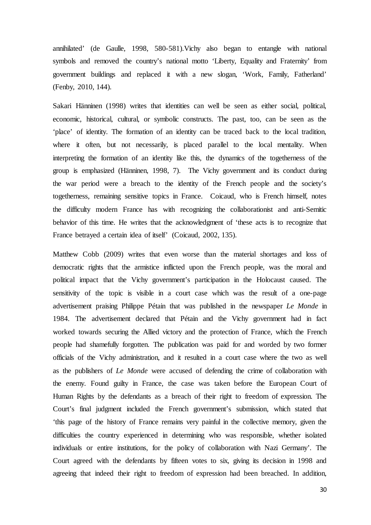annihilated' (de Gaulle, 1998, 580-581).Vichy also began to entangle with national symbols and removed the country's national motto 'Liberty, Equality and Fraternity' from government buildings and replaced it with a new slogan, 'Work, Family, Fatherland' (Fenby, 2010, 144).

Sakari Hänninen (1998) writes that identities can well be seen as either social, political, economic, historical, cultural, or symbolic constructs. The past, too, can be seen as the 'place' of identity. The formation of an identity can be traced back to the local tradition, where it often, but not necessarily, is placed parallel to the local mentality. When interpreting the formation of an identity like this, the dynamics of the togetherness of the group is emphasized (Hänninen, 1998, 7). The Vichy government and its conduct during the war period were a breach to the identity of the French people and the society's togetherness, remaining sensitive topics in France. Coicaud, who is French himself, notes the difficulty modern France has with recognizing the collaborationist and anti-Semitic behavior of this time. He writes that the acknowledgment of 'these acts is to recognize that France betrayed a certain idea of itself' (Coicaud, 2002, 135).

Matthew Cobb (2009) writes that even worse than the material shortages and loss of democratic rights that the armistice inflicted upon the French people, was the moral and political impact that the Vichy government's participation in the Holocaust caused. The sensitivity of the topic is visible in a court case which was the result of a one-page advertisement praising Philippe Pétain that was published in the newspaper *Le Monde* in 1984. The advertisement declared that Pétain and the Vichy government had in fact worked towards securing the Allied victory and the protection of France, which the French people had shamefully forgotten. The publication was paid for and worded by two former officials of the Vichy administration, and it resulted in a court case where the two as well as the publishers of *Le Monde* were accused of defending the crime of collaboration with the enemy. Found guilty in France, the case was taken before the European Court of Human Rights by the defendants as a breach of their right to freedom of expression. The Court's final judgment included the French government's submission, which stated that 'this page of the history of France remains very painful in the collective memory, given the difficulties the country experienced in determining who was responsible, whether isolated individuals or entire institutions, for the policy of collaboration with Nazi Germany'. The Court agreed with the defendants by fifteen votes to six, giving its decision in 1998 and agreeing that indeed their right to freedom of expression had been breached. In addition,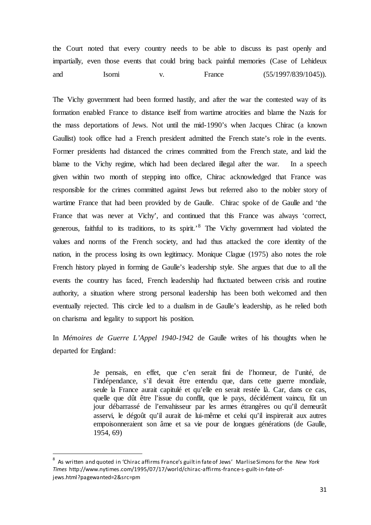the Court noted that every country needs to be able to discuss its past openly and impartially, even those events that could bring back painful memories (Case of Lehideux and Isorni v. France (55/1997/839/1045)).

The Vichy government had been formed hastily, and after the war the contested way of its formation enabled France to distance itself from wartime atrocities and blame the Nazis for the mass deportations of Jews. Not until the mid-1990's when Jacques Chirac (a known Gaullist) took office had a French president admitted the French state's role in the events. Former presidents had distanced the crimes committed from the French state, and laid the blame to the Vichy regime, which had been declared illegal after the war. In a speech given within two month of stepping into office, Chirac acknowledged that France was responsible for the crimes committed against Jews but referred also to the nobler story of wartime France that had been provided by de Gaulle. Chirac spoke of de Gaulle and 'the France that was never at Vichy', and continued that this France was always 'correct, generous, faithful to its traditions, to its spirit.'[8](#page-32-0) The Vichy government had violated the values and norms of the French society, and had thus attacked the core identity of the nation, in the process losing its own legitimacy. Monique Clague (1975) also notes the role French history played in forming de Gaulle's leadership style. She argues that due to all the events the country has faced, French leadership had fluctuated between crisis and routine authority, a situation where strong personal leadership has been both welcomed and then eventually rejected. This circle led to a dualism in de Gaulle's leadership, as he relied both on charisma and legality to support his position.

In *Mémoires de Guerre L'Appel 1940-1942* de Gaulle writes of his thoughts when he departed for England:

> Je pensais, en effet, que c'en serait fini de l'honneur, de l'unité, de l'indépendance, s'il devait être entendu que, dans cette guerre mondiale, seule la France aurait capitulé et qu'elle en serait restée là. Car, dans ce cas, quelle que dût être l'issue du conflit, que le pays, décidément vaincu, fût un jour débarrassé de l'envahisseur par les armes étrangères ou qu'il demeurât asservi, le dégoût qu'il aurait de lui-même et celui qu'il inspirerait aux autres empoisonneraient son âme et sa vie pour de longues générations (de Gaulle, 1954, 69)

<span id="page-32-0"></span> $\frac{1}{8}$  As written and quoted in 'Chirac affirms France's guilt in fate of Jews' Marlise Simons for the *New York Times* http://www.nytimes.com/1995/07/17/world/chirac-affirms-france-s-guilt-in-fate-ofjews.html?pagewanted=2&src=pm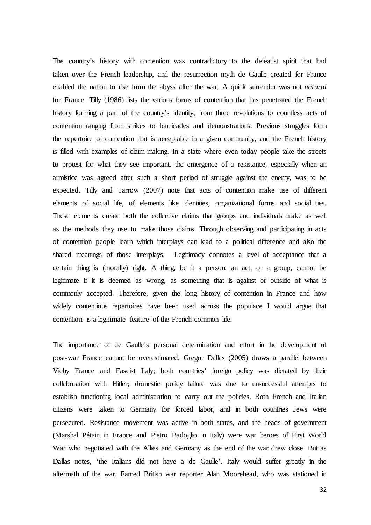The country's history with contention was contradictory to the defeatist spirit that had taken over the French leadership, and the resurrection myth de Gaulle created for France enabled the nation to rise from the abyss after the war. A quick surrender was not *natural* for France. Tilly (1986) lists the various forms of contention that has penetrated the French history forming a part of the country's identity, from three revolutions to countless acts of contention ranging from strikes to barricades and demonstrations. Previous struggles form the repertoire of contention that is acceptable in a given community, and the French history is filled with examples of claim-making. In a state where even today people take the streets to protest for what they see important, the emergence of a resistance, especially when an armistice was agreed after such a short period of struggle against the enemy, was to be expected. Tilly and Tarrow (2007) note that acts of contention make use of different elements of social life, of elements like identities, organizational forms and social ties. These elements create both the collective claims that groups and individuals make as well as the methods they use to make those claims. Through observing and participating in acts of contention people learn which interplays can lead to a political difference and also the shared meanings of those interplays. Legitimacy connotes a level of acceptance that a certain thing is (morally) right. A thing, be it a person, an act, or a group, cannot be legitimate if it is deemed as wrong, as something that is against or outside of what is commonly accepted. Therefore, given the long history of contention in France and how widely contentious repertoires have been used across the populace I would argue that contention is a legitimate feature of the French common life.

The importance of de Gaulle's personal determination and effort in the development of post-war France cannot be overestimated. Gregor Dallas (2005) draws a parallel between Vichy France and Fascist Italy; both countries' foreign policy was dictated by their collaboration with Hitler; domestic policy failure was due to unsuccessful attempts to establish functioning local administration to carry out the policies. Both French and Italian citizens were taken to Germany for forced labor, and in both countries Jews were persecuted. Resistance movement was active in both states, and the heads of government (Marshal Pétain in France and Pietro Badoglio in Italy) were war heroes of First World War who negotiated with the Allies and Germany as the end of the war drew close. But as Dallas notes, 'the Italians did not have a de Gaulle'. Italy would suffer greatly in the aftermath of the war. Famed British war reporter Alan Moorehead, who was stationed in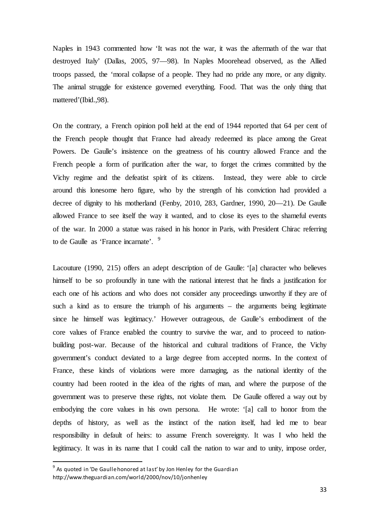Naples in 1943 commented how 'It was not the war, it was the aftermath of the war that destroyed Italy' (Dallas, 2005, 97—98). In Naples Moorehead observed, as the Allied troops passed, the 'moral collapse of a people. They had no pride any more, or any dignity. The animal struggle for existence governed everything. Food. That was the only thing that mattered'(Ibid.,98).

On the contrary, a French opinion poll held at the end of 1944 reported that 64 per cent of the French people thought that France had already redeemed its place among the Great Powers. De Gaulle's insistence on the greatness of his country allowed France and the French people a form of purification after the war, to forget the crimes committed by the Vichy regime and the defeatist spirit of its citizens. Instead, they were able to circle around this lonesome hero figure, who by the strength of his conviction had provided a decree of dignity to his motherland (Fenby, 2010, 283, Gardner, 1990, 20—21). De Gaulle allowed France to see itself the way it wanted, and to close its eyes to the shameful events of the war. In 2000 a statue was raised in his honor in Paris, with President Chirac referring to de Gaulle as 'France incarnate'. <sup>[9](#page-34-0)</sup>

Lacouture (1990, 215) offers an adept description of de Gaulle: '[a] character who believes himself to be so profoundly in tune with the national interest that he finds a justification for each one of his actions and who does not consider any proceedings unworthy if they are of such a kind as to ensure the triumph of his arguments – the arguments being legitimate since he himself was legitimacy.' However outrageous, de Gaulle's embodiment of the core values of France enabled the country to survive the war, and to proceed to nationbuilding post-war. Because of the historical and cultural traditions of France, the Vichy government's conduct deviated to a large degree from accepted norms. In the context of France, these kinds of violations were more damaging, as the national identity of the country had been rooted in the idea of the rights of man, and where the purpose of the government was to preserve these rights, not violate them. De Gaulle offered a way out by embodying the core values in his own persona. He wrote: '[a] call to honor from the depths of history, as well as the instinct of the nation itself, had led me to bear responsibility in default of heirs: to assume French sovereignty. It was I who held the legitimacy. It was in its name that I could call the nation to war and to unity, impose order,

<span id="page-34-0"></span> $9<sup>9</sup>$  As quoted in 'De Gaulle honored at last' by Jon Henley for the Guardian http://www.theguardian.com/world/2000/nov/10/jonhenley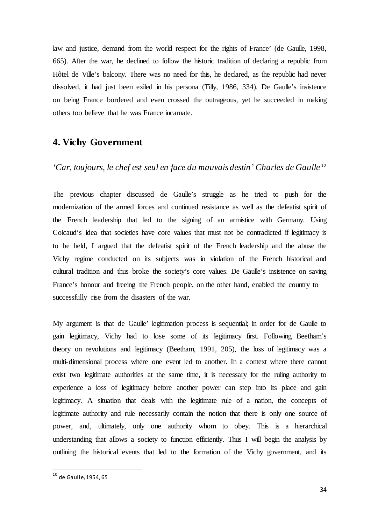law and justice, demand from the world respect for the rights of France' (de Gaulle, 1998, 665). After the war, he declined to follow the historic tradition of declaring a republic from Hôtel de Ville's balcony. There was no need for this, he declared, as the republic had never dissolved, it had just been exiled in his persona (Tilly, 1986, 334). De Gaulle's insistence on being France bordered and even crossed the outrageous, yet he succeeded in making others too believe that he was France incarnate.

## <span id="page-35-0"></span>**4. Vichy Government**

*'Car, toujours, le chef est seul en face du mauvais destin' Charles de Gaulle* [10](#page-35-1)

The previous chapter discussed de Gaulle's struggle as he tried to push for the modernization of the armed forces and continued resistance as well as the defeatist spirit of the French leadership that led to the signing of an armistice with Germany. Using Coicaud's idea that societies have core values that must not be contradicted if legitimacy is to be held, I argued that the defeatist spirit of the French leadership and the abuse the Vichy regime conducted on its subjects was in violation of the French historical and cultural tradition and thus broke the society's core values. De Gaulle's insistence on saving France's honour and freeing the French people, on the other hand, enabled the country to successfully rise from the disasters of the war.

My argument is that de Gaulle' legitimation process is sequential; in order for de Gaulle to gain legitimacy, Vichy had to lose some of its legitimacy first. Following Beetham's theory on revolutions and legitimacy (Beetham, 1991, 205), the loss of legitimacy was a multi-dimensional process where one event led to another. In a context where there cannot exist two legitimate authorities at the same time, it is necessary for the ruling authority to experience a loss of legitimacy before another power can step into its place and gain legitimacy. A situation that deals with the legitimate rule of a nation, the concepts of legitimate authority and rule necessarily contain the notion that there is only one source of power, and, ultimately, only one authority whom to obey. This is a hierarchical understanding that allows a society to function efficiently. Thus I will begin the analysis by outlining the historical events that led to the formation of the Vichy government, and its

<span id="page-35-1"></span> <sup>10</sup> de Gaulle, 1954, 65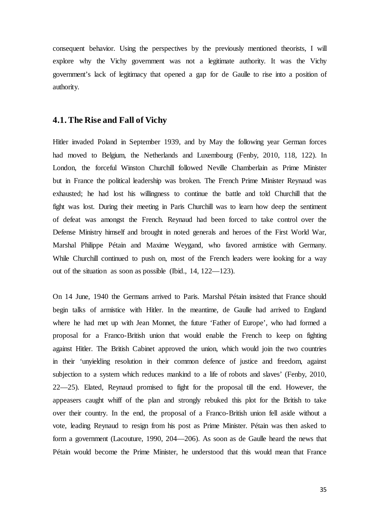consequent behavior. Using the perspectives by the previously mentioned theorists, I will explore why the Vichy government was not a legitimate authority. It was the Vichy government's lack of legitimacy that opened a gap for de Gaulle to rise into a position of authority.

### **4.1. The Rise and Fall of Vichy**

Hitler invaded Poland in September 1939, and by May the following year German forces had moved to Belgium, the Netherlands and Luxembourg (Fenby, 2010, 118, 122). In London, the forceful Winston Churchill followed Neville Chamberlain as Prime Minister but in France the political leadership was broken. The French Prime Minister Reynaud was exhausted; he had lost his willingness to continue the battle and told Churchill that the fight was lost. During their meeting in Paris Churchill was to learn how deep the sentiment of defeat was amongst the French. Reynaud had been forced to take control over the Defense Ministry himself and brought in noted generals and heroes of the First World War, Marshal Philippe Pétain and Maxime Weygand, who favored armistice with Germany. While Churchill continued to push on, most of the French leaders were looking for a way out of the situation as soon as possible (Ibid., 14, 122—123).

On 14 June, 1940 the Germans arrived to Paris. Marshal Pétain insisted that France should begin talks of armistice with Hitler. In the meantime, de Gaulle had arrived to England where he had met up with Jean Monnet, the future 'Father of Europe', who had formed a proposal for a Franco-British union that would enable the French to keep on fighting against Hitler. The British Cabinet approved the union, which would join the two countries in their 'unyielding resolution in their common defence of justice and freedom, against subjection to a system which reduces mankind to a life of robots and slaves' (Fenby, 2010, 22—25). Elated, Reynaud promised to fight for the proposal till the end. However, the appeasers caught whiff of the plan and strongly rebuked this plot for the British to take over their country. In the end, the proposal of a Franco-British union fell aside without a vote, leading Reynaud to resign from his post as Prime Minister. Pétain was then asked to form a government (Lacouture, 1990, 204—206). As soon as de Gaulle heard the news that Pétain would become the Prime Minister, he understood that this would mean that France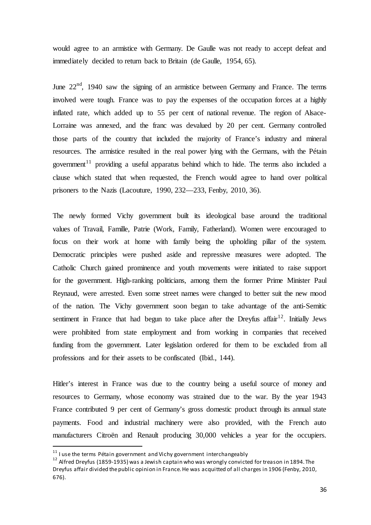would agree to an armistice with Germany. De Gaulle was not ready to accept defeat and immediately decided to return back to Britain (de Gaulle, 1954, 65).

June  $22<sup>nd</sup>$ , 1940 saw the signing of an armistice between Germany and France. The terms involved were tough. France was to pay the expenses of the occupation forces at a highly inflated rate, which added up to 55 per cent of national revenue. The region of Alsace-Lorraine was annexed, and the franc was devalued by 20 per cent. Germany controlled those parts of the country that included the majority of France's industry and mineral resources. The armistice resulted in the real power lying with the Germans, with the Pétain government<sup>[11](#page-37-0)</sup> providing a useful apparatus behind which to hide. The terms also included a clause which stated that when requested, the French would agree to hand over political prisoners to the Nazis (Lacouture, 1990, 232—233, Fenby, 2010, 36).

The newly formed Vichy government built its ideological base around the traditional values of Travail, Famille, Patrie (Work, Family, Fatherland). Women were encouraged to focus on their work at home with family being the upholding pillar of the system. Democratic principles were pushed aside and repressive measures were adopted. The Catholic Church gained prominence and youth movements were initiated to raise support for the government. High-ranking politicians, among them the former Prime Minister Paul Reynaud, were arrested. Even some street names were changed to better suit the new mood of the nation. The Vichy government soon began to take advantage of the anti-Semitic sentiment in France that had begun to take place after the Dreyfus affair<sup>[12](#page-37-1)</sup>. Initially Jews were prohibited from state employment and from working in companies that received funding from the government. Later legislation ordered for them to be excluded from all professions and for their assets to be confiscated (Ibid., 144).

Hitler's interest in France was due to the country being a useful source of money and resources to Germany, whose economy was strained due to the war. By the year 1943 France contributed 9 per cent of Germany's gross domestic product through its annual state payments. Food and industrial machinery were also provided, with the French auto manufacturers Citroën and Renault producing 30,000 vehicles a year for the occupiers.

<span id="page-37-1"></span>

<span id="page-37-0"></span><sup>&</sup>lt;sup>11</sup> I use the terms Pétain government and Vichy government interchangeably<br><sup>12</sup> Alfred Dreyfus (1859-1935) was a Jewish captain who was wrongly convicted for treason in 1894. The Dreyfus affair divided the public opinion in France. He was acquitted of all charges in 1906 (Fenby, 2010, 676).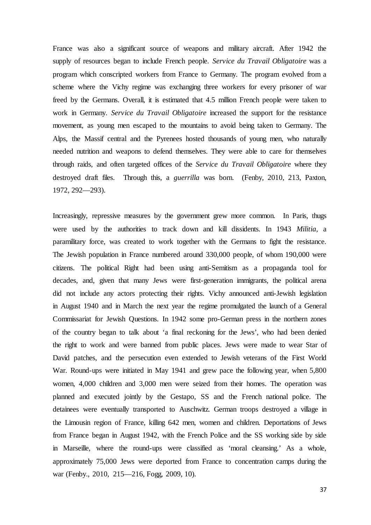France was also a significant source of weapons and military aircraft. After 1942 the supply of resources began to include French people. *Service du Travail Obligatoire* was a program which conscripted workers from France to Germany. The program evolved from a scheme where the Vichy regime was exchanging three workers for every prisoner of war freed by the Germans. Overall, it is estimated that 4.5 million French people were taken to work in Germany. *Service du Travail Obligatoire* increased the support for the resistance movement, as young men escaped to the mountains to avoid being taken to Germany. The Alps, the Massif central and the Pyrenees hosted thousands of young men, who naturally needed nutrition and weapons to defend themselves. They were able to care for themselves through raids, and often targeted offices of the *Service du Travail Obligatoire* where they destroyed draft files. Through this, a *guerrilla* was born. (Fenby, 2010, 213, Paxton, 1972, 292—293).

Increasingly, repressive measures by the government grew more common. In Paris, thugs were used by the authorities to track down and kill dissidents. In 1943 *Militia,* a paramilitary force, was created to work together with the Germans to fight the resistance. The Jewish population in France numbered around 330,000 people, of whom 190,000 were citizens. The political Right had been using anti-Semitism as a propaganda tool for decades, and, given that many Jews were first-generation immigrants, the political arena did not include any actors protecting their rights. Vichy announced anti-Jewish legislation in August 1940 and in March the next year the regime promulgated the launch of a General Commissariat for Jewish Questions. In 1942 some pro-German press in the northern zones of the country began to talk about 'a final reckoning for the Jews', who had been denied the right to work and were banned from public places. Jews were made to wear Star of David patches, and the persecution even extended to Jewish veterans of the First World War. Round-ups were initiated in May 1941 and grew pace the following year, when 5,800 women, 4,000 children and 3,000 men were seized from their homes. The operation was planned and executed jointly by the Gestapo, SS and the French national police. The detainees were eventually transported to Auschwitz. German troops destroyed a village in the Limousin region of France, killing 642 men, women and children. Deportations of Jews from France began in August 1942, with the French Police and the SS working side by side in Marseille, where the round-ups were classified as 'moral cleansing.' As a whole, approximately 75,000 Jews were deported from France to concentration camps during the war (Fenby., 2010, 215—216, Fogg, 2009, 10).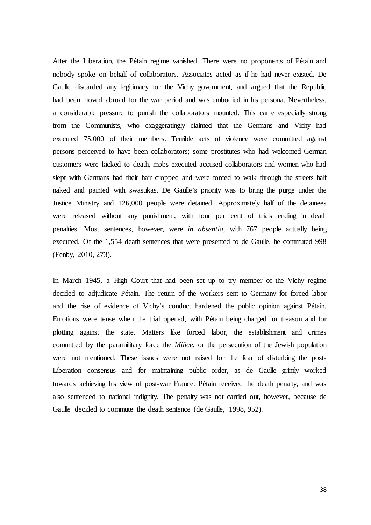After the Liberation, the Pétain regime vanished. There were no proponents of Pétain and nobody spoke on behalf of collaborators. Associates acted as if he had never existed. De Gaulle discarded any legitimacy for the Vichy government, and argued that the Republic had been moved abroad for the war period and was embodied in his persona. Nevertheless, a considerable pressure to punish the collaborators mounted. This came especially strong from the Communists, who exaggeratingly claimed that the Germans and Vichy had executed 75,000 of their members. Terrible acts of violence were committed against persons perceived to have been collaborators; some prostitutes who had welcomed German customers were kicked to death, mobs executed accused collaborators and women who had slept with Germans had their hair cropped and were forced to walk through the streets half naked and painted with swastikas. De Gaulle's priority was to bring the purge under the Justice Ministry and 126,000 people were detained. Approximately half of the detainees were released without any punishment, with four per cent of trials ending in death penalties. Most sentences, however, were *in absentia*, with 767 people actually being executed. Of the 1,554 death sentences that were presented to de Gaulle, he commuted 998 (Fenby, 2010, 273).

In March 1945, a High Court that had been set up to try member of the Vichy regime decided to adjudicate Pétain. The return of the workers sent to Germany for forced labor and the rise of evidence of Vichy's conduct hardened the public opinion against Pétain. Emotions were tense when the trial opened, with Pétain being charged for treason and for plotting against the state. Matters like forced labor, the establishment and crimes committed by the paramilitary force the *Milice*, or the persecution of the Jewish population were not mentioned. These issues were not raised for the fear of disturbing the post-Liberation consensus and for maintaining public order, as de Gaulle grimly worked towards achieving his view of post-war France. Pétain received the death penalty, and was also sentenced to national indignity. The penalty was not carried out, however, because de Gaulle decided to commute the death sentence (de Gaulle, 1998, 952).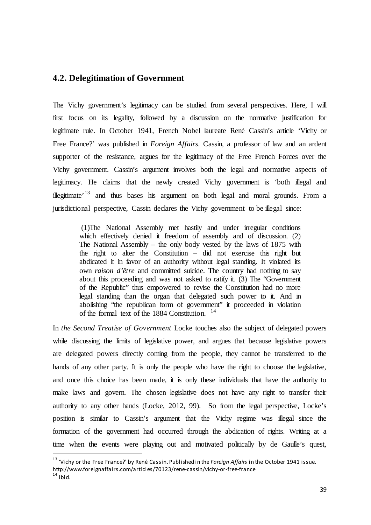## **4.2. Delegitimation of Government**

The Vichy government's legitimacy can be studied from several perspectives. Here, I will first focus on its legality, followed by a discussion on the normative justification for legitimate rule. In October 1941, French Nobel laureate René Cassin's article 'Vichy or Free France?' was published in *Foreign Affairs*. Cassin, a professor of law and an ardent supporter of the resistance, argues for the legitimacy of the Free French Forces over the Vichy government. Cassin's argument involves both the legal and normative aspects of legitimacy. He claims that the newly created Vichy government is 'both illegal and illegitimate<sup>, [13](#page-40-0)</sup> and thus bases his argument on both legal and moral grounds. From a jurisdictional perspective, Cassin declares the Vichy government to be illegal since:

(1)The National Assembly met hastily and under irregular conditions which effectively denied it freedom of assembly and of discussion. (2) The National Assembly – the only body vested by the laws of 1875 with the right to alter the Constitution – did not exercise this right but abdicated it in favor of an authority without legal standing. It violated its own *raison d'être* and committed suicide. The country had nothing to say about this proceeding and was not asked to ratify it. (3) The "Government of the Republic" thus empowered to revise the Constitution had no more legal standing than the organ that delegated such power to it. And in abolishing "the republican form of government" it proceeded in violation of the formal text of the 1884 Constitution. [14](#page-40-1)

In *the Second Treatise of Government* Locke touches also the subject of delegated powers while discussing the limits of legislative power, and argues that because legislative powers are delegated powers directly coming from the people, they cannot be transferred to the hands of any other party. It is only the people who have the right to choose the legislative, and once this choice has been made, it is only these individuals that have the authority to make laws and govern. The chosen legislative does not have any right to transfer their authority to any other hands (Locke, 2012, 99). So from the legal perspective, Locke's position is similar to Cassin's argument that the Vichy regime was illegal since the formation of the government had occurred through the abdication of rights. Writing at a time when the events were playing out and motivated politically by de Gaulle's quest,

<span id="page-40-0"></span> <sup>13</sup> 'Vichy or the Free France?' by René Cassin. Published in the *Foreign Affairs* in the October 1941 issue.

http://www.foreignaffairs.com/articles/70123/rene-cassin/vichy-or-free-france

<span id="page-40-1"></span> $14$  Ibid.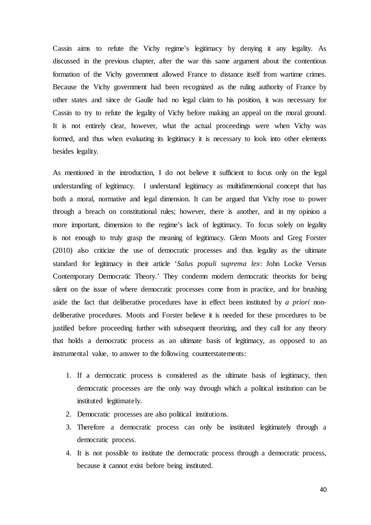Cassin aims to refute the Vichy regime's legitimacy by denying it any legality. As discussed in the previous chapter, after the war this same argument about the contentious formation of the Vichy government allowed France to distance itself from wartime crimes. Because the Vichy government had been recognized as the ruling authority of France by other states and since de Gaulle had no legal claim to his position, it was necessary for Cassin to try to refute the legality of Vichy before making an appeal on the moral ground. It is not entirely clear, however, what the actual proceedings were when Vichy was formed, and thus when evaluating its legitimacy it is necessary to look into other elements besides legality.

As mentioned in the introduction, I do not believe it sufficient to focus only on the legal understanding of legitimacy. I understand legitimacy as multidimensional concept that has both a moral, normative and legal dimension. It can be argued that Vichy rose to power through a breach on constitutional rules; however, there is another, and in my opinion a more important, dimension to the regime's lack of legitimacy. To focus solely on legality is not enough to truly grasp the meaning of legitimacy. Glenn Moots and Greg Forster (2010) also criticize the use of democratic processes and thus legality as the ultimate standard for legitimacy in their article '*Salus populi suprema lex*: John Locke Versus Contemporary Democratic Theory.' They condemn modern democratic theorists for being silent on the issue of where democratic processes come from in practice, and for brushing aside the fact that deliberative procedures have in effect been instituted by *a priori* nondeliberative procedures. Moots and Forster believe it is needed for these procedures to be justified before proceeding further with subsequent theorizing, and they call for any theory that holds a democratic process as an ultimate basis of legitimacy, as opposed to an instrumental value, to answer to the following counterstatements:

- 1. If a democratic process is considered as the ultimate basis of legitimacy, then democratic processes are the only way through which a political institution can be instituted legitimately.
- 2. Democratic processes are also political institutions.
- 3. Therefore a democratic process can only be instituted legitimately through a democratic process.
- 4. It is not possible to institute the democratic process through a democratic process, because it cannot exist before being instituted.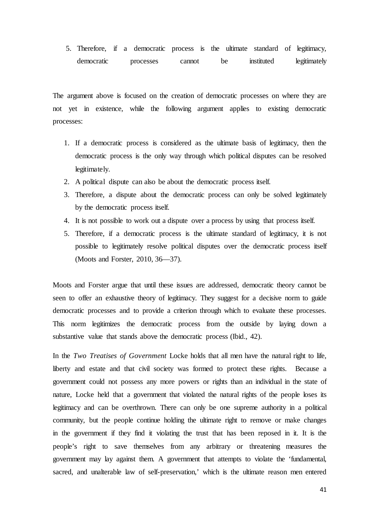5. Therefore, if a democratic process is the ultimate standard of legitimacy, democratic processes cannot be instituted legitimately

The argument above is focused on the creation of democratic processes on where they are not yet in existence, while the following argument applies to existing democratic processes:

- 1. If a democratic process is considered as the ultimate basis of legitimacy, then the democratic process is the only way through which political disputes can be resolved legitimately.
- 2. A political dispute can also be about the democratic process itself.
- 3. Therefore, a dispute about the democratic process can only be solved legitimately by the democratic process itself.
- 4. It is not possible to work out a dispute over a process by using that process itself.
- 5. Therefore, if a democratic process is the ultimate standard of legitimacy, it is not possible to legitimately resolve political disputes over the democratic process itself (Moots and Forster, 2010, 36—37).

Moots and Forster argue that until these issues are addressed, democratic theory cannot be seen to offer an exhaustive theory of legitimacy. They suggest for a decisive norm to guide democratic processes and to provide a criterion through which to evaluate these processes. This norm legitimizes the democratic process from the outside by laying down a substantive value that stands above the democratic process (Ibid., 42).

In the *Two Treatises of Government* Locke holds that all men have the natural right to life, liberty and estate and that civil society was formed to protect these rights. Because a government could not possess any more powers or rights than an individual in the state of nature, Locke held that a government that violated the natural rights of the people loses its legitimacy and can be overthrown. There can only be one supreme authority in a political community, but the people continue holding the ultimate right to remove or make changes in the government if they find it violating the trust that has been reposed in it. It is the people's right to save themselves from any arbitrary or threatening measures the government may lay against them. A government that attempts to violate the 'fundamental, sacred, and unalterable law of self-preservation,' which is the ultimate reason men entered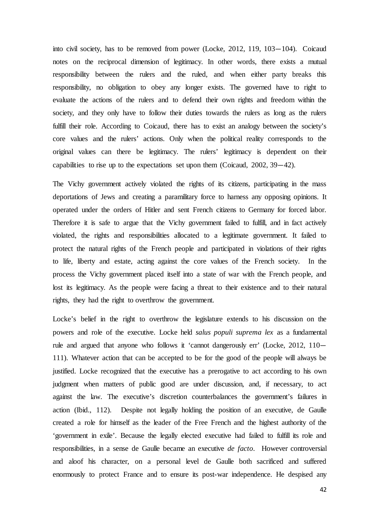into civil society, has to be removed from power (Locke, 2012, 119, 103—104). Coicaud notes on the reciprocal dimension of legitimacy. In other words, there exists a mutual responsibility between the rulers and the ruled, and when either party breaks this responsibility, no obligation to obey any longer exists. The governed have to right to evaluate the actions of the rulers and to defend their own rights and freedom within the society, and they only have to follow their duties towards the rulers as long as the rulers fulfill their role. According to Coicaud, there has to exist an analogy between the society's core values and the rulers' actions. Only when the political reality corresponds to the original values can there be legitimacy. The rulers' legitimacy is dependent on their capabilities to rise up to the expectations set upon them (Coicaud, 2002, 39—42).

The Vichy government actively violated the rights of its citizens, participating in the mass deportations of Jews and creating a paramilitary force to harness any opposing opinions. It operated under the orders of Hitler and sent French citizens to Germany for forced labor. Therefore it is safe to argue that the Vichy government failed to fulfill, and in fact actively violated, the rights and responsibilities allocated to a legitimate government. It failed to protect the natural rights of the French people and participated in violations of their rights to life, liberty and estate, acting against the core values of the French society. In the process the Vichy government placed itself into a state of war with the French people, and lost its legitimacy. As the people were facing a threat to their existence and to their natural rights, they had the right to overthrow the government.

Locke's belief in the right to overthrow the legislature extends to his discussion on the powers and role of the executive. Locke held *salus populi suprema lex* as a fundamental rule and argued that anyone who follows it 'cannot dangerously err' (Locke, 2012, 110— 111). Whatever action that can be accepted to be for the good of the people will always be justified. Locke recognized that the executive has a prerogative to act according to his own judgment when matters of public good are under discussion, and, if necessary, to act against the law. The executive's discretion counterbalances the government's failures in action (Ibid., 112). Despite not legally holding the position of an executive, de Gaulle created a role for himself as the leader of the Free French and the highest authority of the 'government in exile'. Because the legally elected executive had failed to fulfill its role and responsibilities, in a sense de Gaulle became an executive *de facto*. However controversial and aloof his character, on a personal level de Gaulle both sacrificed and suffered enormously to protect France and to ensure its post-war independence. He despised any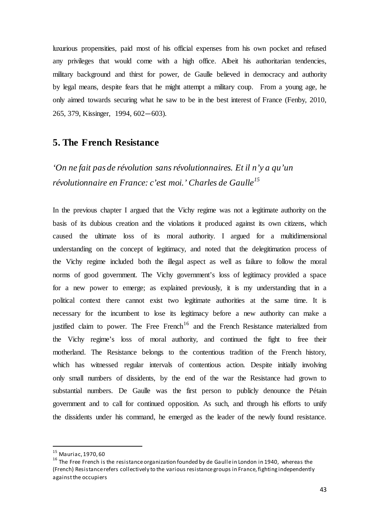luxurious propensities, paid most of his official expenses from his own pocket and refused any privileges that would come with a high office. Albeit his authoritarian tendencies, military background and thirst for power, de Gaulle believed in democracy and authority by legal means, despite fears that he might attempt a military coup. From a young age, he only aimed towards securing what he saw to be in the best interest of France (Fenby, 2010, 265, 379, Kissinger, 1994, 602—603).

## **5. The French Resistance**

*'On ne fait pas de révolution sans révolutionnaires. Et il n'y a qu'un révolutionnaire en France: c'est moi.' Charles de Gaulle[15](#page-44-0)*

In the previous chapter I argued that the Vichy regime was not a legitimate authority on the basis of its dubious creation and the violations it produced against its own citizens, which caused the ultimate loss of its moral authority. I argued for a multidimensional understanding on the concept of legitimacy, and noted that the delegitimation process of the Vichy regime included both the illegal aspect as well as failure to follow the moral norms of good government. The Vichy government's loss of legitimacy provided a space for a new power to emerge; as explained previously, it is my understanding that in a political context there cannot exist two legitimate authorities at the same time. It is necessary for the incumbent to lose its legitimacy before a new authority can make a justified claim to power. The Free French<sup>[16](#page-44-1)</sup> and the French Resistance materialized from the Vichy regime's loss of moral authority, and continued the fight to free their motherland. The Resistance belongs to the contentious tradition of the French history, which has witnessed regular intervals of contentious action. Despite initially involving only small numbers of dissidents, by the end of the war the Resistance had grown to substantial numbers. De Gaulle was the first person to publicly denounce the Pétain government and to call for continued opposition. As such, and through his efforts to unify the dissidents under his command, he emerged as the leader of the newly found resistance.

<span id="page-44-1"></span><span id="page-44-0"></span><sup>&</sup>lt;sup>15</sup> Mauriac, 1970, 60<br><sup>16</sup> The Free French is the resistance organization founded by de Gaulle in London in 1940, whereas the (French) Resistance refers collectively to the various resistance groups in France, fighting independently against the occupiers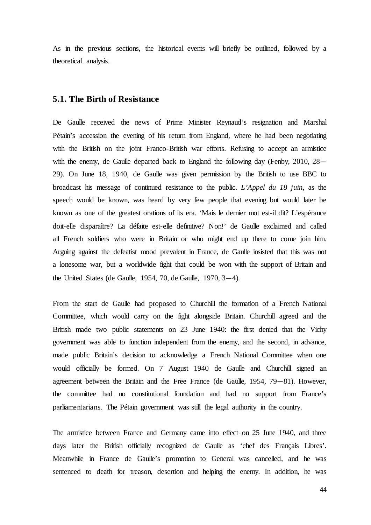As in the previous sections, the historical events will briefly be outlined, followed by a theoretical analysis.

## **5.1. The Birth of Resistance**

De Gaulle received the news of Prime Minister Reynaud's resignation and Marshal Pétain's accession the evening of his return from England, where he had been negotiating with the British on the joint Franco-British war efforts. Refusing to accept an armistice with the enemy, de Gaulle departed back to England the following day (Fenby, 2010, 28— 29). On June 18, 1940, de Gaulle was given permission by the British to use BBC to broadcast his message of continued resistance to the public. *L'Appel du 18 juin,* as the speech would be known, was heard by very few people that evening but would later be known as one of the greatest orations of its era. 'Mais le dernier mot est-il dit? L'espérance doit-elle disparaître? La défaite est-elle definitive? Non!' de Gaulle exclaimed and called all French soldiers who were in Britain or who might end up there to come join him. Arguing against the defeatist mood prevalent in France, de Gaulle insisted that this was not a lonesome war, but a worldwide fight that could be won with the support of Britain and the United States (de Gaulle, 1954, 70, de Gaulle, 1970, 3—4).

From the start de Gaulle had proposed to Churchill the formation of a French National Committee, which would carry on the fight alongside Britain. Churchill agreed and the British made two public statements on 23 June 1940: the first denied that the Vichy government was able to function independent from the enemy, and the second, in advance, made public Britain's decision to acknowledge a French National Committee when one would officially be formed. On 7 August 1940 de Gaulle and Churchill signed an agreement between the Britain and the Free France (de Gaulle, 1954, 79—81). However, the committee had no constitutional foundation and had no support from France's parliamentarians. The Pétain government was still the legal authority in the country.

The armistice between France and Germany came into effect on 25 June 1940, and three days later the British officially recognized de Gaulle as 'chef des Français Libres'. Meanwhile in France de Gaulle's promotion to General was cancelled, and he was sentenced to death for treason, desertion and helping the enemy. In addition, he was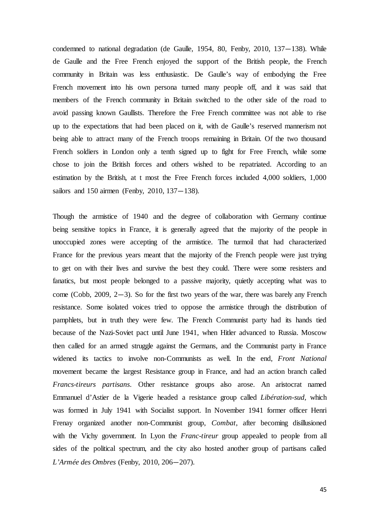condemned to national degradation (de Gaulle, 1954, 80, Fenby, 2010, 137—138). While de Gaulle and the Free French enjoyed the support of the British people, the French community in Britain was less enthusiastic. De Gaulle's way of embodying the Free French movement into his own persona turned many people off, and it was said that members of the French community in Britain switched to the other side of the road to avoid passing known Gaullists. Therefore the Free French committee was not able to rise up to the expectations that had been placed on it, with de Gaulle's reserved mannerism not being able to attract many of the French troops remaining in Britain. Of the two thousand French soldiers in London only a tenth signed up to fight for Free French, while some chose to join the British forces and others wished to be repatriated. According to an estimation by the British, at t most the Free French forces included 4,000 soldiers, 1,000 sailors and 150 airmen (Fenby, 2010, 137—138).

Though the armistice of 1940 and the degree of collaboration with Germany continue being sensitive topics in France, it is generally agreed that the majority of the people in unoccupied zones were accepting of the armistice. The turmoil that had characterized France for the previous years meant that the majority of the French people were just trying to get on with their lives and survive the best they could. There were some resisters and fanatics, but most people belonged to a passive majority, quietly accepting what was to come (Cobb, 2009,  $2-3$ ). So for the first two years of the war, there was barely any French resistance. Some isolated voices tried to oppose the armistice through the distribution of pamphlets, but in truth they were few. The French Communist party had its hands tied because of the Nazi-Soviet pact until June 1941, when Hitler advanced to Russia. Moscow then called for an armed struggle against the Germans, and the Communist party in France widened its tactics to involve non-Communists as well. In the end, *Front National* movement became the largest Resistance group in France, and had an action branch called *Francs-tireurs partisans*. Other resistance groups also arose. An aristocrat named Emmanuel d'Astier de la Vigerie headed a resistance group called *Libération-sud,* which was formed in July 1941 with Socialist support. In November 1941 former officer Henri Frenay organized another non-Communist group, *Combat*, after becoming disillusioned with the Vichy government. In Lyon the *Franc-tireur* group appealed to people from all sides of the political spectrum, and the city also hosted another group of partisans called *L'Armée des Ombres* (Fenby, 2010, 206—207).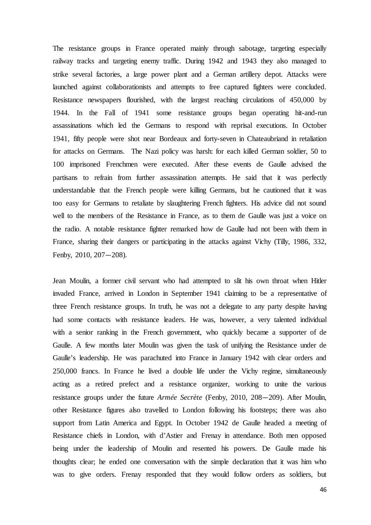The resistance groups in France operated mainly through sabotage, targeting especially railway tracks and targeting enemy traffic. During 1942 and 1943 they also managed to strike several factories, a large power plant and a German artillery depot. Attacks were launched against collaborationists and attempts to free captured fighters were concluded. Resistance newspapers flourished, with the largest reaching circulations of 450,000 by 1944. In the Fall of 1941 some resistance groups began operating hit-and-run assassinations which led the Germans to respond with reprisal executions. In October 1941, fifty people were shot near Bordeaux and forty-seven in Chateaubriand in retaliation for attacks on Germans. The Nazi policy was harsh: for each killed German soldier, 50 to 100 imprisoned Frenchmen were executed. After these events de Gaulle advised the partisans to refrain from further assassination attempts. He said that it was perfectly understandable that the French people were killing Germans, but he cautioned that it was too easy for Germans to retaliate by slaughtering French fighters. His advice did not sound well to the members of the Resistance in France, as to them de Gaulle was just a voice on the radio. A notable resistance fighter remarked how de Gaulle had not been with them in France, sharing their dangers or participating in the attacks against Vichy (Tilly, 1986, 332, Fenby, 2010, 207—208).

Jean Moulin, a former civil servant who had attempted to slit his own throat when Hitler invaded France, arrived in London in September 1941 claiming to be a representative of three French resistance groups. In truth, he was not a delegate to any party despite having had some contacts with resistance leaders. He was, however, a very talented individual with a senior ranking in the French government, who quickly became a supporter of de Gaulle. A few months later Moulin was given the task of unifying the Resistance under de Gaulle's leadership. He was parachuted into France in January 1942 with clear orders and 250,000 francs. In France he lived a double life under the Vichy regime, simultaneously acting as a retired prefect and a resistance organizer, working to unite the various resistance groups under the future *Armée Secrète* (Fenby, 2010, 208—209). After Moulin, other Resistance figures also travelled to London following his footsteps; there was also support from Latin America and Egypt. In October 1942 de Gaulle headed a meeting of Resistance chiefs in London, with d'Astier and Frenay in attendance. Both men opposed being under the leadership of Moulin and resented his powers. De Gaulle made his thoughts clear; he ended one conversation with the simple declaration that it was him who was to give orders. Frenay responded that they would follow orders as soldiers, but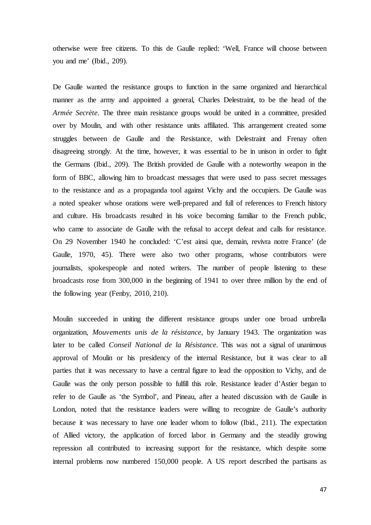otherwise were free citizens. To this de Gaulle replied: 'Well, France will choose between you and me' (Ibid., 209).

De Gaulle wanted the resistance groups to function in the same organized and hierarchical manner as the army and appointed a general, Charles Delestraint, to be the head of the *Armée Secrète*. The three main resistance groups would be united in a committee, presided over by Moulin, and with other resistance units affiliated. This arrangement created some struggles between de Gaulle and the Resistance, with Delestraint and Frenay often disagreeing strongly. At the time, however, it was essential to be in unison in order to fight the Germans (Ibid., 209). The British provided de Gaulle with a noteworthy weapon in the form of BBC, allowing him to broadcast messages that were used to pass secret messages to the resistance and as a propaganda tool against Vichy and the occupiers. De Gaulle was a noted speaker whose orations were well-prepared and full of references to French history and culture. His broadcasts resulted in his voice becoming familiar to the French public, who came to associate de Gaulle with the refusal to accept defeat and calls for resistance. On 29 November 1940 he concluded: 'C'est ainsi que, demain, revivra notre France' (de Gaulle, 1970, 45). There were also two other programs, whose contributors were journalists, spokespeople and noted writers. The number of people listening to these broadcasts rose from 300,000 in the beginning of 1941 to over three million by the end of the following year (Fenby, 2010, 210).

Moulin succeeded in uniting the different resistance groups under one broad umbrella organization, *Mouvements unis de la résistance*, by January 1943. The organization was later to be called *Conseil National de la Résistance*. This was not a signal of unanimous approval of Moulin or his presidency of the internal Resistance, but it was clear to all parties that it was necessary to have a central figure to lead the opposition to Vichy, and de Gaulle was the only person possible to fulfill this role. Resistance leader d'Astier began to refer to de Gaulle as 'the Symbol', and Pineau, after a heated discussion with de Gaulle in London, noted that the resistance leaders were willing to recognize de Gaulle's authority because it was necessary to have one leader whom to follow (Ibid., 211). The expectation of Allied victory, the application of forced labor in Germany and the steadily growing repression all contributed to increasing support for the resistance, which despite some internal problems now numbered 150,000 people. A US report described the partisans as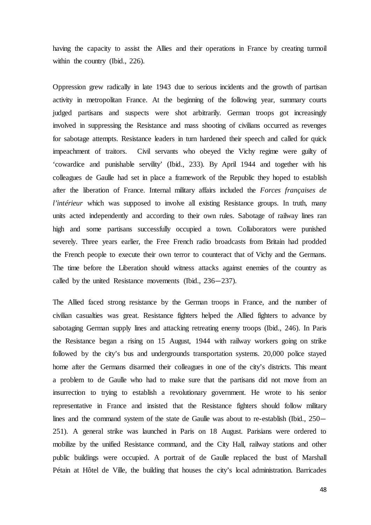having the capacity to assist the Allies and their operations in France by creating turmoil within the country (Ibid., 226).

Oppression grew radically in late 1943 due to serious incidents and the growth of partisan activity in metropolitan France. At the beginning of the following year, summary courts judged partisans and suspects were shot arbitrarily. German troops got increasingly involved in suppressing the Resistance and mass shooting of civilians occurred as revenges for sabotage attempts. Resistance leaders in turn hardened their speech and called for quick impeachment of traitors. Civil servants who obeyed the Vichy regime were guilty of 'cowardice and punishable servility' (Ibid., 233). By April 1944 and together with his colleagues de Gaulle had set in place a framework of the Republic they hoped to establish after the liberation of France. Internal military affairs included the *Forces françaises de l'intérieur* which was supposed to involve all existing Resistance groups. In truth, many units acted independently and according to their own rules. Sabotage of railway lines ran high and some partisans successfully occupied a town. Collaborators were punished severely. Three years earlier, the Free French radio broadcasts from Britain had prodded the French people to execute their own terror to counteract that of Vichy and the Germans. The time before the Liberation should witness attacks against enemies of the country as called by the united Resistance movements (Ibid., 236—237).

The Allied faced strong resistance by the German troops in France, and the number of civilian casualties was great. Resistance fighters helped the Allied fighters to advance by sabotaging German supply lines and attacking retreating enemy troops (Ibid., 246). In Paris the Resistance began a rising on 15 August, 1944 with railway workers going on strike followed by the city's bus and undergrounds transportation systems. 20,000 police stayed home after the Germans disarmed their colleagues in one of the city's districts. This meant a problem to de Gaulle who had to make sure that the partisans did not move from an insurrection to trying to establish a revolutionary government. He wrote to his senior representative in France and insisted that the Resistance fighters should follow military lines and the command system of the state de Gaulle was about to re-establish (Ibid., 250— 251). A general strike was launched in Paris on 18 August. Parisians were ordered to mobilize by the unified Resistance command, and the City Hall, railway stations and other public buildings were occupied. A portrait of de Gaulle replaced the bust of Marshall Pétain at Hôtel de Ville, the building that houses the city's local administration. Barricades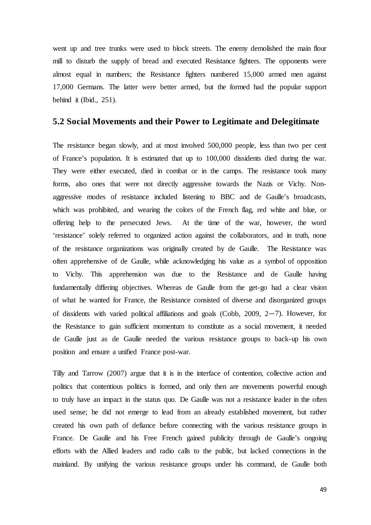went up and tree trunks were used to block streets. The enemy demolished the main flour mill to disturb the supply of bread and executed Resistance fighters. The opponents were almost equal in numbers; the Resistance fighters numbered 15,000 armed men against 17,000 Germans. The latter were better armed, but the formed had the popular support behind it (Ibid., 251).

## **5.2 Social Movements and their Power to Legitimate and Delegitimate**

The resistance began slowly, and at most involved 500,000 people, less than two per cent of France's population. It is estimated that up to 100,000 dissidents died during the war. They were either executed, died in combat or in the camps. The resistance took many forms, also ones that were not directly aggressive towards the Nazis or Vichy. Nonaggressive modes of resistance included listening to BBC and de Gaulle's broadcasts, which was prohibited, and wearing the colors of the French flag, red white and blue, or offering help to the persecuted Jews. At the time of the war, however, the word 'resistance' solely referred to organized action against the collaborators, and in truth, none of the resistance organizations was originally created by de Gaulle. The Resistance was often apprehensive of de Gaulle, while acknowledging his value as a symbol of opposition to Vichy. This apprehension was due to the Resistance and de Gaulle having fundamentally differing objectives. Whereas de Gaulle from the get-go had a clear vision of what he wanted for France, the Resistance consisted of diverse and disorganized groups of dissidents with varied political affiliations and goals (Cobb, 2009, 2—7). However, for the Resistance to gain sufficient momentum to constitute as a social movement, it needed de Gaulle just as de Gaulle needed the various resistance groups to back-up his own position and ensure a unified France post-war.

Tilly and Tarrow (2007) argue that it is in the interface of contention, collective action and politics that contentious politics is formed, and only then are movements powerful enough to truly have an impact in the status quo. De Gaulle was not a resistance leader in the often used sense; he did not emerge to lead from an already established movement, but rather created his own path of defiance before connecting with the various resistance groups in France. De Gaulle and his Free French gained publicity through de Gaulle's ongoing efforts with the Allied leaders and radio calls to the public, but lacked connections in the mainland. By unifying the various resistance groups under his command, de Gaulle both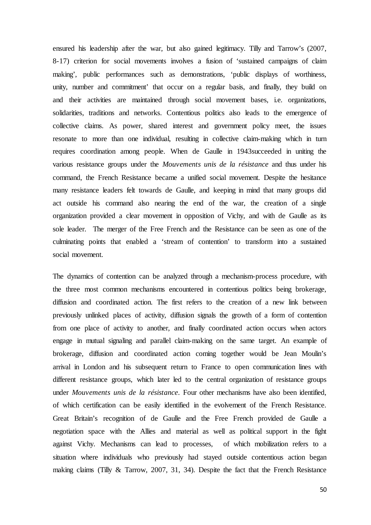ensured his leadership after the war, but also gained legitimacy. Tilly and Tarrow's (2007, 8-17) criterion for social movements involves a fusion of 'sustained campaigns of claim making', public performances such as demonstrations, 'public displays of worthiness, unity, number and commitment' that occur on a regular basis, and finally, they build on and their activities are maintained through social movement bases, i.e. organizations, solidarities, traditions and networks. Contentious politics also leads to the emergence of collective claims. As power, shared interest and government policy meet, the issues resonate to more than one individual, resulting in collective claim-making which in turn requires coordination among people. When de Gaulle in 1943succeeded in uniting the various resistance groups under the *Mouvements unis de la résistance* and thus under his command, the French Resistance became a unified social movement. Despite the hesitance many resistance leaders felt towards de Gaulle, and keeping in mind that many groups did act outside his command also nearing the end of the war, the creation of a single organization provided a clear movement in opposition of Vichy, and with de Gaulle as its sole leader. The merger of the Free French and the Resistance can be seen as one of the culminating points that enabled a 'stream of contention' to transform into a sustained social movement.

The dynamics of contention can be analyzed through a mechanism-process procedure, with the three most common mechanisms encountered in contentious politics being brokerage, diffusion and coordinated action. The first refers to the creation of a new link between previously unlinked places of activity, diffusion signals the growth of a form of contention from one place of activity to another, and finally coordinated action occurs when actors engage in mutual signaling and parallel claim-making on the same target. An example of brokerage, diffusion and coordinated action coming together would be Jean Moulin's arrival in London and his subsequent return to France to open communication lines with different resistance groups, which later led to the central organization of resistance groups under *Mouvements unis de la résistance*. Four other mechanisms have also been identified, of which certification can be easily identified in the evolvement of the French Resistance. Great Britain's recognition of de Gaulle and the Free French provided de Gaulle a negotiation space with the Allies and material as well as political support in the fight against Vichy. Mechanisms can lead to processes, of which mobilization refers to a situation where individuals who previously had stayed outside contentious action began making claims (Tilly & Tarrow, 2007, 31, 34). Despite the fact that the French Resistance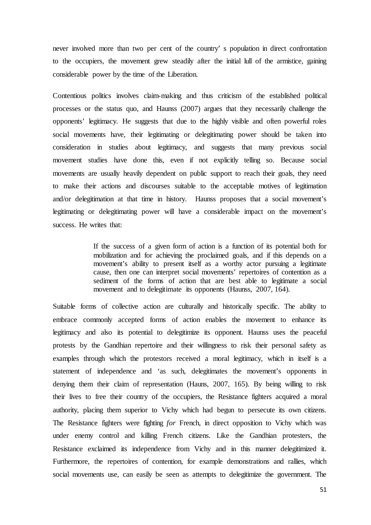never involved more than two per cent of the country' s population in direct confrontation to the occupiers, the movement grew steadily after the initial lull of the armistice, gaining considerable power by the time of the Liberation.

Contentious politics involves claim-making and thus criticism of the established political processes or the status quo, and Haunss (2007) argues that they necessarily challenge the opponents' legitimacy. He suggests that due to the highly visible and often powerful roles social movements have, their legitimating or delegitimating power should be taken into consideration in studies about legitimacy, and suggests that many previous social movement studies have done this, even if not explicitly telling so. Because social movements are usually heavily dependent on public support to reach their goals, they need to make their actions and discourses suitable to the acceptable motives of legitimation and/or delegitimation at that time in history. Haunss proposes that a social movement's legitimating or delegitimating power will have a considerable impact on the movement's success. He writes that:

> If the success of a given form of action is a function of its potential both for mobilization and for achieving the proclaimed goals, and if this depends on a movement's ability to present itself as a worthy actor pursuing a legitimate cause, then one can interpret social movements' repertoires of contention as a sediment of the forms of action that are best able to legitimate a social movement and to delegitimate its opponents (Haunss, 2007, 164).

Suitable forms of collective action are culturally and historically specific. The ability to embrace commonly accepted forms of action enables the movement to enhance its legitimacy and also its potential to delegitimize its opponent. Haunss uses the peaceful protests by the Gandhian repertoire and their willingness to risk their personal safety as examples through which the protestors received a moral legitimacy, which in itself is a statement of independence and 'as such, delegitimates the movement's opponents in denying them their claim of representation (Hauns, 2007, 165). By being willing to risk their lives to free their country of the occupiers, the Resistance fighters acquired a moral authority, placing them superior to Vichy which had begun to persecute its own citizens. The Resistance fighters were fighting *for* French, in direct opposition to Vichy which was under enemy control and killing French citizens. Like the Gandhian protesters, the Resistance exclaimed its independence from Vichy and in this manner delegitimized it. Furthermore, the repertoires of contention, for example demonstrations and rallies, which social movements use, can easily be seen as attempts to delegitimize the government. The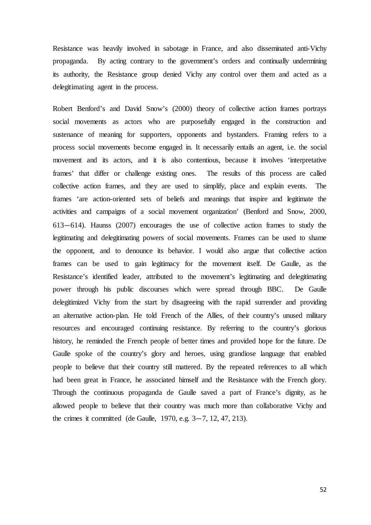Resistance was heavily involved in sabotage in France, and also disseminated anti-Vichy propaganda. By acting contrary to the government's orders and continually undermining its authority, the Resistance group denied Vichy any control over them and acted as a delegitimating agent in the process.

Robert Benford's and David Snow's (2000) theory of collective action frames portrays social movements as actors who are purposefully engaged in the construction and sustenance of meaning for supporters, opponents and bystanders. Framing refers to a process social movements become engaged in. It necessarily entails an agent, i.e. the social movement and its actors, and it is also contentious, because it involves 'interpretative frames' that differ or challenge existing ones. The results of this process are called collective action frames, and they are used to simplify, place and explain events. The frames 'are action-oriented sets of beliefs and meanings that inspire and legitimate the activities and campaigns of a social movement organization' (Benford and Snow, 2000, 613—614). Haunss (2007) encourages the use of collective action frames to study the legitimating and delegitimating powers of social movements. Frames can be used to shame the opponent, and to denounce its behavior. I would also argue that collective action frames can be used to gain legitimacy for the movement itself. De Gaulle, as the Resistance's identified leader, attributed to the movement's legitimating and delegitimating power through his public discourses which were spread through BBC. De Gaulle delegitimized Vichy from the start by disagreeing with the rapid surrender and providing an alternative action-plan. He told French of the Allies, of their country's unused military resources and encouraged continuing resistance. By referring to the country's glorious history, he reminded the French people of better times and provided hope for the future. De Gaulle spoke of the country's glory and heroes, using grandiose language that enabled people to believe that their country still mattered. By the repeated references to all which had been great in France, he associated himself and the Resistance with the French glory. Through the continuous propaganda de Gaulle saved a part of France's dignity, as he allowed people to believe that their country was much more than collaborative Vichy and the crimes it committed (de Gaulle, 1970, e.g. 3—7, 12, 47, 213).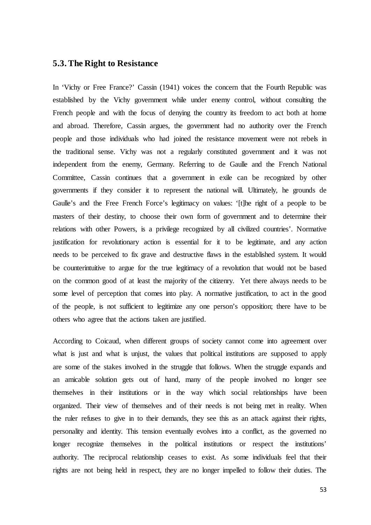### **5.3. The Right to Resistance**

In 'Vichy or Free France?' Cassin (1941) voices the concern that the Fourth Republic was established by the Vichy government while under enemy control, without consulting the French people and with the focus of denying the country its freedom to act both at home and abroad. Therefore, Cassin argues, the government had no authority over the French people and those individuals who had joined the resistance movement were not rebels in the traditional sense. Vichy was not a regularly constituted government and it was not independent from the enemy, Germany. Referring to de Gaulle and the French National Committee, Cassin continues that a government in exile can be recognized by other governments if they consider it to represent the national will. Ultimately, he grounds de Gaulle's and the Free French Force's legitimacy on values: '[t]he right of a people to be masters of their destiny, to choose their own form of government and to determine their relations with other Powers, is a privilege recognized by all civilized countries'. Normative justification for revolutionary action is essential for it to be legitimate, and any action needs to be perceived to fix grave and destructive flaws in the established system. It would be counterintuitive to argue for the true legitimacy of a revolution that would not be based on the common good of at least the majority of the citizenry. Yet there always needs to be some level of perception that comes into play. A normative justification, to act in the good of the people, is not sufficient to legitimize any one person's opposition; there have to be others who agree that the actions taken are justified.

According to Coicaud, when different groups of society cannot come into agreement over what is just and what is unjust, the values that political institutions are supposed to apply are some of the stakes involved in the struggle that follows. When the struggle expands and an amicable solution gets out of hand, many of the people involved no longer see themselves in their institutions or in the way which social relationships have been organized. Their view of themselves and of their needs is not being met in reality. When the ruler refuses to give in to their demands, they see this as an attack against their rights, personality and identity. This tension eventually evolves into a conflict, as the governed no longer recognize themselves in the political institutions or respect the institutions' authority. The reciprocal relationship ceases to exist. As some individuals feel that their rights are not being held in respect, they are no longer impelled to follow their duties. The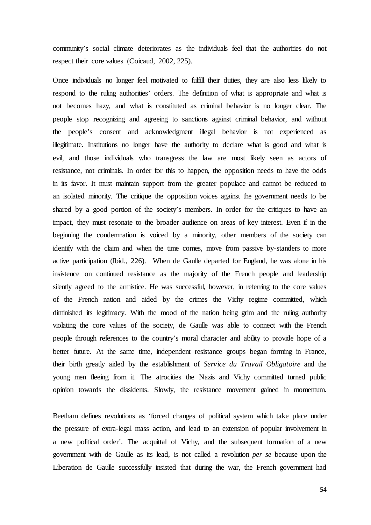community's social climate deteriorates as the individuals feel that the authorities do not respect their core values (Coicaud, 2002, 225).

Once individuals no longer feel motivated to fulfill their duties, they are also less likely to respond to the ruling authorities' orders. The definition of what is appropriate and what is not becomes hazy, and what is constituted as criminal behavior is no longer clear. The people stop recognizing and agreeing to sanctions against criminal behavior, and without the people's consent and acknowledgment illegal behavior is not experienced as illegitimate. Institutions no longer have the authority to declare what is good and what is evil, and those individuals who transgress the law are most likely seen as actors of resistance, not criminals. In order for this to happen, the opposition needs to have the odds in its favor. It must maintain support from the greater populace and cannot be reduced to an isolated minority. The critique the opposition voices against the government needs to be shared by a good portion of the society's members. In order for the critiques to have an impact, they must resonate to the broader audience on areas of key interest. Even if in the beginning the condemnation is voiced by a minority, other members of the society can identify with the claim and when the time comes, move from passive by-standers to more active participation (Ibid., 226). When de Gaulle departed for England, he was alone in his insistence on continued resistance as the majority of the French people and leadership silently agreed to the armistice. He was successful, however, in referring to the core values of the French nation and aided by the crimes the Vichy regime committed, which diminished its legitimacy. With the mood of the nation being grim and the ruling authority violating the core values of the society, de Gaulle was able to connect with the French people through references to the country's moral character and ability to provide hope of a better future. At the same time, independent resistance groups began forming in France, their birth greatly aided by the establishment of *Service du Travail Obligatoire* and the young men fleeing from it. The atrocities the Nazis and Vichy committed turned public opinion towards the dissidents. Slowly, the resistance movement gained in momentum.

Beetham defines revolutions as 'forced changes of political system which take place under the pressure of extra-legal mass action, and lead to an extension of popular involvement in a new political order'. The acquittal of Vichy, and the subsequent formation of a new government with de Gaulle as its lead, is not called a revolution *per se* because upon the Liberation de Gaulle successfully insisted that during the war, the French government had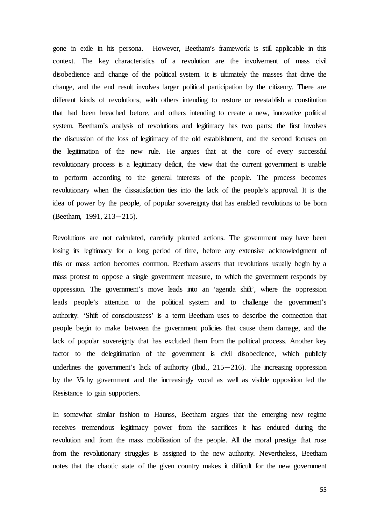gone in exile in his persona. However, Beetham's framework is still applicable in this context. The key characteristics of a revolution are the involvement of mass civil disobedience and change of the political system. It is ultimately the masses that drive the change, and the end result involves larger political participation by the citizenry. There are different kinds of revolutions, with others intending to restore or reestablish a constitution that had been breached before, and others intending to create a new, innovative political system. Beetham's analysis of revolutions and legitimacy has two parts; the first involves the discussion of the loss of legitimacy of the old establishment, and the second focuses on the legitimation of the new rule. He argues that at the core of every successful revolutionary process is a legitimacy deficit, the view that the current government is unable to perform according to the general interests of the people. The process becomes revolutionary when the dissatisfaction ties into the lack of the people's approval. It is the idea of power by the people, of popular sovereignty that has enabled revolutions to be born (Beetham, 1991, 213—215).

Revolutions are not calculated, carefully planned actions. The government may have been losing its legitimacy for a long period of time, before any extensive acknowledgment of this or mass action becomes common. Beetham asserts that revolutions usually begin by a mass protest to oppose a single government measure, to which the government responds by oppression. The government's move leads into an 'agenda shift', where the oppression leads people's attention to the political system and to challenge the government's authority. 'Shift of consciousness' is a term Beetham uses to describe the connection that people begin to make between the government policies that cause them damage, and the lack of popular sovereignty that has excluded them from the political process. Another key factor to the delegitimation of the government is civil disobedience, which publicly underlines the government's lack of authority (Ibid.,  $215-216$ ). The increasing oppression by the Vichy government and the increasingly vocal as well as visible opposition led the Resistance to gain supporters.

In somewhat similar fashion to Haunss, Beetham argues that the emerging new regime receives tremendous legitimacy power from the sacrifices it has endured during the revolution and from the mass mobilization of the people. All the moral prestige that rose from the revolutionary struggles is assigned to the new authority. Nevertheless, Beetham notes that the chaotic state of the given country makes it difficult for the new government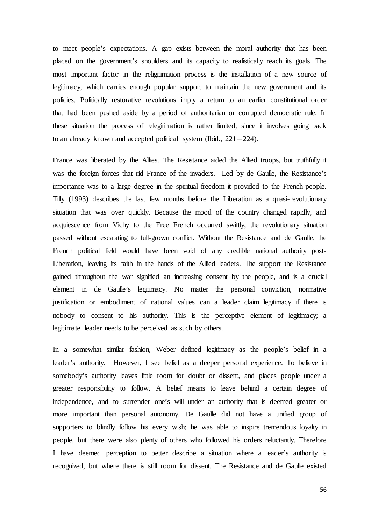to meet people's expectations. A gap exists between the moral authority that has been placed on the government's shoulders and its capacity to realistically reach its goals. The most important factor in the religitimation process is the installation of a new source of legitimacy, which carries enough popular support to maintain the new government and its policies. Politically restorative revolutions imply a return to an earlier constitutional order that had been pushed aside by a period of authoritarian or corrupted democratic rule. In these situation the process of relegitimation is rather limited, since it involves going back to an already known and accepted political system (Ibid., 221—224).

France was liberated by the Allies. The Resistance aided the Allied troops, but truthfully it was the foreign forces that rid France of the invaders. Led by de Gaulle, the Resistance's importance was to a large degree in the spiritual freedom it provided to the French people. Tilly (1993) describes the last few months before the Liberation as a quasi-revolutionary situation that was over quickly. Because the mood of the country changed rapidly, and acquiescence from Vichy to the Free French occurred swiftly, the revolutionary situation passed without escalating to full-grown conflict. Without the Resistance and de Gaulle, the French political field would have been void of any credible national authority post-Liberation, leaving its faith in the hands of the Allied leaders. The support the Resistance gained throughout the war signified an increasing consent by the people, and is a crucial element in de Gaulle's legitimacy. No matter the personal conviction, normative justification or embodiment of national values can a leader claim legitimacy if there is nobody to consent to his authority. This is the perceptive element of legitimacy; a legitimate leader needs to be perceived as such by others.

In a somewhat similar fashion, Weber defined legitimacy as the people's belief in a leader's authority. However, I see belief as a deeper personal experience. To believe in somebody's authority leaves little room for doubt or dissent, and places people under a greater responsibility to follow. A belief means to leave behind a certain degree of independence, and to surrender one's will under an authority that is deemed greater or more important than personal autonomy. De Gaulle did not have a unified group of supporters to blindly follow his every wish; he was able to inspire tremendous loyalty in people, but there were also plenty of others who followed his orders reluctantly. Therefore I have deemed perception to better describe a situation where a leader's authority is recognized, but where there is still room for dissent. The Resistance and de Gaulle existed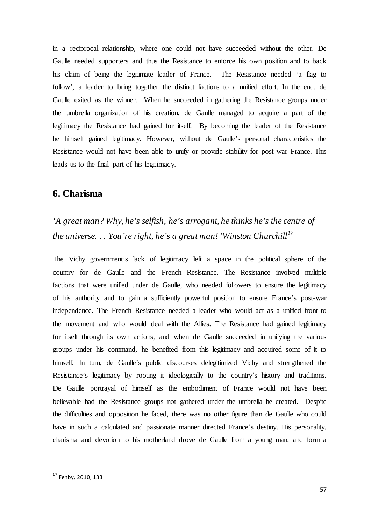in a reciprocal relationship, where one could not have succeeded without the other. De Gaulle needed supporters and thus the Resistance to enforce his own position and to back his claim of being the legitimate leader of France. The Resistance needed 'a flag to follow', a leader to bring together the distinct factions to a unified effort. In the end, de Gaulle exited as the winner. When he succeeded in gathering the Resistance groups under the umbrella organization of his creation, de Gaulle managed to acquire a part of the legitimacy the Resistance had gained for itself. By becoming the leader of the Resistance he himself gained legitimacy. However, without de Gaulle's personal characteristics the Resistance would not have been able to unify or provide stability for post-war France. This leads us to the final part of his legitimacy.

# **6. Charisma**

# *'A great man? Why, he's selfish, he's arrogant, he thinks he's the centre of the universe. . . You're right, he's a great man! 'Winston Churchill[17](#page-58-0)*

The Vichy government's lack of legitimacy left a space in the political sphere of the country for de Gaulle and the French Resistance. The Resistance involved multiple factions that were unified under de Gaulle, who needed followers to ensure the legitimacy of his authority and to gain a sufficiently powerful position to ensure France's post-war independence. The French Resistance needed a leader who would act as a unified front to the movement and who would deal with the Allies. The Resistance had gained legitimacy for itself through its own actions, and when de Gaulle succeeded in unifying the various groups under his command, he benefited from this legitimacy and acquired some of it to himself. In turn, de Gaulle's public discourses delegitimized Vichy and strengthened the Resistance's legitimacy by rooting it ideologically to the country's history and traditions. De Gaulle portrayal of himself as the embodiment of France would not have been believable had the Resistance groups not gathered under the umbrella he created. Despite the difficulties and opposition he faced, there was no other figure than de Gaulle who could have in such a calculated and passionate manner directed France's destiny. His personality, charisma and devotion to his motherland drove de Gaulle from a young man, and form a

<span id="page-58-0"></span> <sup>17</sup> Fenby, 2010, <sup>133</sup>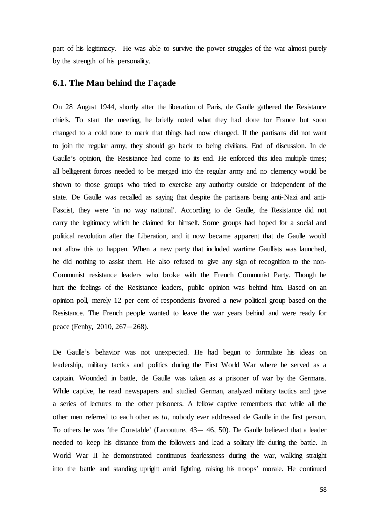part of his legitimacy. He was able to survive the power struggles of the war almost purely by the strength of his personality.

#### **6.1. The Man behind the Façade**

On 28 August 1944, shortly after the liberation of Paris, de Gaulle gathered the Resistance chiefs. To start the meeting, he briefly noted what they had done for France but soon changed to a cold tone to mark that things had now changed. If the partisans did not want to join the regular army, they should go back to being civilians. End of discussion. In de Gaulle's opinion, the Resistance had come to its end. He enforced this idea multiple times; all belligerent forces needed to be merged into the regular army and no clemency would be shown to those groups who tried to exercise any authority outside or independent of the state. De Gaulle was recalled as saying that despite the partisans being anti-Nazi and anti-Fascist, they were 'in no way national'. According to de Gaulle, the Resistance did not carry the legitimacy which he claimed for himself. Some groups had hoped for a social and political revolution after the Liberation, and it now became apparent that de Gaulle would not allow this to happen. When a new party that included wartime Gaullists was launched, he did nothing to assist them. He also refused to give any sign of recognition to the non-Communist resistance leaders who broke with the French Communist Party. Though he hurt the feelings of the Resistance leaders, public opinion was behind him. Based on an opinion poll, merely 12 per cent of respondents favored a new political group based on the Resistance. The French people wanted to leave the war years behind and were ready for peace (Fenby, 2010, 267—268).

De Gaulle's behavior was not unexpected. He had begun to formulate his ideas on leadership, military tactics and politics during the First World War where he served as a captain. Wounded in battle, de Gaulle was taken as a prisoner of war by the Germans. While captive, he read newspapers and studied German, analyzed military tactics and gave a series of lectures to the other prisoners. A fellow captive remembers that while all the other men referred to each other as *tu*, nobody ever addressed de Gaulle in the first person. To others he was 'the Constable' (Lacouture, 43— 46, 50). De Gaulle believed that a leader needed to keep his distance from the followers and lead a solitary life during the battle. In World War II he demonstrated continuous fearlessness during the war, walking straight into the battle and standing upright amid fighting, raising his troops' morale. He continued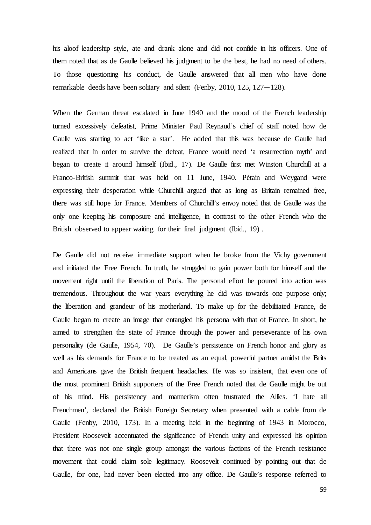his aloof leadership style, ate and drank alone and did not confide in his officers. One of them noted that as de Gaulle believed his judgment to be the best, he had no need of others. To those questioning his conduct, de Gaulle answered that all men who have done remarkable deeds have been solitary and silent (Fenby, 2010, 125, 127—128).

When the German threat escalated in June 1940 and the mood of the French leadership turned excessively defeatist, Prime Minister Paul Reynaud's chief of staff noted how de Gaulle was starting to act 'like a star'. He added that this was because de Gaulle had realized that in order to survive the defeat, France would need 'a resurrection myth' and began to create it around himself (Ibid., 17). De Gaulle first met Winston Churchill at a Franco-British summit that was held on 11 June, 1940. Pétain and Weygand were expressing their desperation while Churchill argued that as long as Britain remained free, there was still hope for France. Members of Churchill's envoy noted that de Gaulle was the only one keeping his composure and intelligence, in contrast to the other French who the British observed to appear waiting for their final judgment (Ibid., 19) .

De Gaulle did not receive immediate support when he broke from the Vichy government and initiated the Free French. In truth, he struggled to gain power both for himself and the movement right until the liberation of Paris. The personal effort he poured into action was tremendous. Throughout the war years everything he did was towards one purpose only; the liberation and grandeur of his motherland. To make up for the debilitated France, de Gaulle began to create an image that entangled his persona with that of France. In short, he aimed to strengthen the state of France through the power and perseverance of his own personality (de Gaulle, 1954, 70). De Gaulle's persistence on French honor and glory as well as his demands for France to be treated as an equal, powerful partner amidst the Brits and Americans gave the British frequent headaches. He was so insistent, that even one of the most prominent British supporters of the Free French noted that de Gaulle might be out of his mind. His persistency and mannerism often frustrated the Allies. 'I hate all Frenchmen', declared the British Foreign Secretary when presented with a cable from de Gaulle (Fenby, 2010, 173). In a meeting held in the beginning of 1943 in Morocco, President Roosevelt accentuated the significance of French unity and expressed his opinion that there was not one single group amongst the various factions of the French resistance movement that could claim sole legitimacy. Roosevelt continued by pointing out that de Gaulle, for one, had never been elected into any office. De Gaulle's response referred to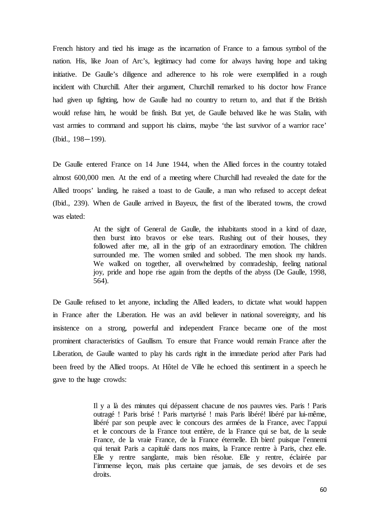French history and tied his image as the incarnation of France to a famous symbol of the nation. His, like Joan of Arc's, legitimacy had come for always having hope and taking initiative. De Gaulle's diligence and adherence to his role were exemplified in a rough incident with Churchill. After their argument, Churchill remarked to his doctor how France had given up fighting, how de Gaulle had no country to return to, and that if the British would refuse him, he would be finish. But yet, de Gaulle behaved like he was Stalin, with vast armies to command and support his claims, maybe 'the last survivor of a warrior race' (Ibid., 198—199).

De Gaulle entered France on 14 June 1944, when the Allied forces in the country totaled almost 600,000 men. At the end of a meeting where Churchill had revealed the date for the Allied troops' landing, he raised a toast to de Gaulle, a man who refused to accept defeat (Ibid., 239). When de Gaulle arrived in Bayeux, the first of the liberated towns, the crowd was elated:

> At the sight of General de Gaulle, the inhabitants stood in a kind of daze, then burst into bravos or else tears. Rushing out of their houses, they followed after me, all in the grip of an extraordinary emotion. The children surrounded me. The women smiled and sobbed. The men shook my hands. We walked on together, all overwhelmed by comradeship, feeling national joy, pride and hope rise again from the depths of the abyss (De Gaulle, 1998, 564).

De Gaulle refused to let anyone, including the Allied leaders, to dictate what would happen in France after the Liberation. He was an avid believer in national sovereignty, and his insistence on a strong, powerful and independent France became one of the most prominent characteristics of Gaullism. To ensure that France would remain France after the Liberation, de Gaulle wanted to play his cards right in the immediate period after Paris had been freed by the Allied troops. At Hôtel de Ville he echoed this sentiment in a speech he gave to the huge crowds:

> Il y a là des minutes qui dépassent chacune de nos pauvres vies. Paris ! Paris outragé ! Paris brisé ! Paris martyrisé ! mais Paris libéré! libéré par lui-même, libéré par son peuple avec le concours des armées de la France, avec l'appui et le concours de la France tout entière, de la France qui se bat, de la seule France, de la vraie France, de la France éternelle. Eh bien! puisque l'ennemi qui tenait Paris a capitulé dans nos mains, la France rentre à Paris, chez elle. Elle y rentre sanglante, mais bien résolue. Elle y rentre, éclairée par l'immense leçon, mais plus certaine que jamais, de ses devoirs et de ses droits.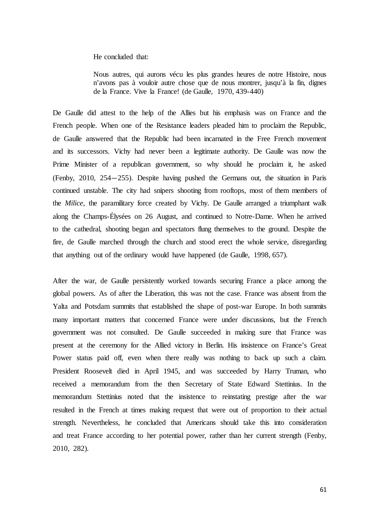He concluded that:

Nous autres, qui aurons vécu les plus grandes heures de notre Histoire, nous n'avons pas à vouloir autre chose que de nous montrer, jusqu'à la fin, dignes de la France. Vive la France! (de Gaulle, 1970, 439-440)

De Gaulle did attest to the help of the Allies but his emphasis was on France and the French people. When one of the Resistance leaders pleaded him to proclaim the Republic, de Gaulle answered that the Republic had been incarnated in the Free French movement and its successors. Vichy had never been a legitimate authority. De Gaulle was now the Prime Minister of a republican government, so why should he proclaim it, he asked (Fenby, 2010, 254—255). Despite having pushed the Germans out, the situation in Paris continued unstable. The city had snipers shooting from rooftops, most of them members of the *Milice*, the paramilitary force created by Vichy. De Gaulle arranged a triumphant walk along the Champs-Élysées on 26 August, and continued to Notre-Dame. When he arrived to the cathedral, shooting began and spectators flung themselves to the ground. Despite the fire, de Gaulle marched through the church and stood erect the whole service, disregarding that anything out of the ordinary would have happened (de Gaulle, 1998, 657).

After the war, de Gaulle persistently worked towards securing France a place among the global powers. As of after the Liberation, this was not the case. France was absent from the Yalta and Potsdam summits that established the shape of post-war Europe. In both summits many important matters that concerned France were under discussions, but the French government was not consulted. De Gaulle succeeded in making sure that France was present at the ceremony for the Allied victory in Berlin. His insistence on France's Great Power status paid off, even when there really was nothing to back up such a claim. President Roosevelt died in April 1945, and was succeeded by Harry Truman, who received a memorandum from the then Secretary of State Edward Stettinius. In the memorandum Stettinius noted that the insistence to reinstating prestige after the war resulted in the French at times making request that were out of proportion to their actual strength. Nevertheless, he concluded that Americans should take this into consideration and treat France according to her potential power, rather than her current strength (Fenby, 2010, 282).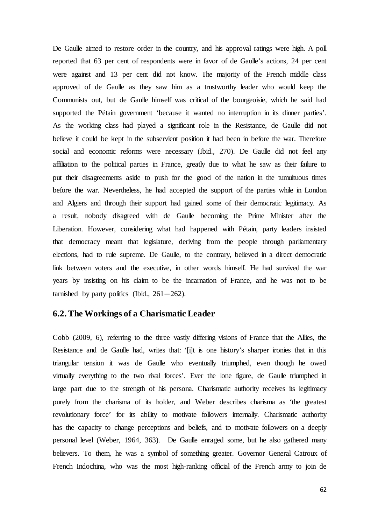De Gaulle aimed to restore order in the country, and his approval ratings were high. A poll reported that 63 per cent of respondents were in favor of de Gaulle's actions, 24 per cent were against and 13 per cent did not know. The majority of the French middle class approved of de Gaulle as they saw him as a trustworthy leader who would keep the Communists out, but de Gaulle himself was critical of the bourgeoisie, which he said had supported the Pétain government 'because it wanted no interruption in its dinner parties'. As the working class had played a significant role in the Resistance, de Gaulle did not believe it could be kept in the subservient position it had been in before the war. Therefore social and economic reforms were necessary (Ibid., 270). De Gaulle did not feel any affiliation to the political parties in France, greatly due to what he saw as their failure to put their disagreements aside to push for the good of the nation in the tumultuous times before the war. Nevertheless, he had accepted the support of the parties while in London and Algiers and through their support had gained some of their democratic legitimacy. As a result, nobody disagreed with de Gaulle becoming the Prime Minister after the Liberation. However, considering what had happened with Pétain, party leaders insisted that democracy meant that legislature, deriving from the people through parliamentary elections, had to rule supreme. De Gaulle, to the contrary, believed in a direct democratic link between voters and the executive, in other words himself. He had survived the war years by insisting on his claim to be the incarnation of France, and he was not to be tarnished by party politics (Ibid.,  $261-262$ ).

### **6.2. The Workings of a Charismatic Leader**

Cobb (2009, 6), referring to the three vastly differing visions of France that the Allies, the Resistance and de Gaulle had, writes that: '[i]t is one history's sharper ironies that in this triangular tension it was de Gaulle who eventually triumphed, even though he owed virtually everything to the two rival forces'. Ever the lone figure, de Gaulle triumphed in large part due to the strength of his persona. Charismatic authority receives its legitimacy purely from the charisma of its holder, and Weber describes charisma as 'the greatest revolutionary force' for its ability to motivate followers internally. Charismatic authority has the capacity to change perceptions and beliefs, and to motivate followers on a deeply personal level (Weber, 1964, 363). De Gaulle enraged some, but he also gathered many believers. To them, he was a symbol of something greater. Governor General Catroux of French Indochina, who was the most high-ranking official of the French army to join de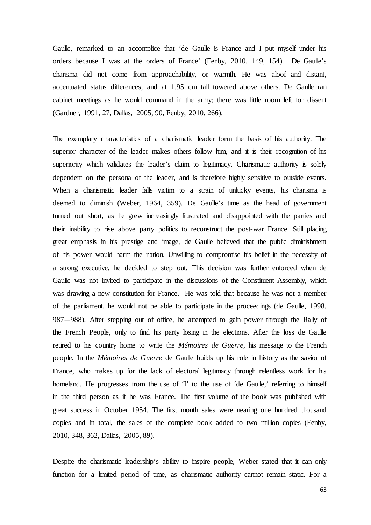Gaulle, remarked to an accomplice that 'de Gaulle is France and I put myself under his orders because I was at the orders of France' (Fenby, 2010, 149, 154). De Gaulle's charisma did not come from approachability, or warmth. He was aloof and distant, accentuated status differences, and at 1.95 cm tall towered above others. De Gaulle ran cabinet meetings as he would command in the army; there was little room left for dissent (Gardner, 1991, 27, Dallas, 2005, 90, Fenby, 2010, 266).

The exemplary characteristics of a charismatic leader form the basis of his authority. The superior character of the leader makes others follow him, and it is their recognition of his superiority which validates the leader's claim to legitimacy. Charismatic authority is solely dependent on the persona of the leader, and is therefore highly sensitive to outside events. When a charismatic leader falls victim to a strain of unlucky events, his charisma is deemed to diminish (Weber, 1964, 359). De Gaulle's time as the head of government turned out short, as he grew increasingly frustrated and disappointed with the parties and their inability to rise above party politics to reconstruct the post-war France. Still placing great emphasis in his prestige and image, de Gaulle believed that the public diminishment of his power would harm the nation. Unwilling to compromise his belief in the necessity of a strong executive, he decided to step out. This decision was further enforced when de Gaulle was not invited to participate in the discussions of the Constituent Assembly, which was drawing a new constitution for France. He was told that because he was not a member of the parliament, he would not be able to participate in the proceedings (de Gaulle, 1998, 987—988). After stepping out of office, he attempted to gain power through the Rally of the French People, only to find his party losing in the elections. After the loss de Gaulle retired to his country home to write the *Mémoires de Guerre*, his message to the French people. In the *Mémoires de Guerre* de Gaulle builds up his role in history as the savior of France, who makes up for the lack of electoral legitimacy through relentless work for his homeland. He progresses from the use of 'I' to the use of 'de Gaulle,' referring to himself in the third person as if he was France. The first volume of the book was published with great success in October 1954. The first month sales were nearing one hundred thousand copies and in total, the sales of the complete book added to two million copies (Fenby, 2010, 348, 362, Dallas, 2005, 89).

Despite the charismatic leadership's ability to inspire people, Weber stated that it can only function for a limited period of time, as charismatic authority cannot remain static. For a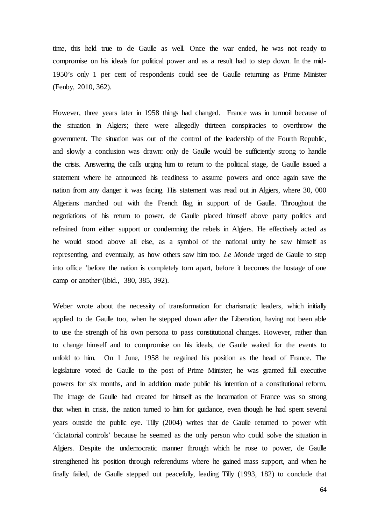time, this held true to de Gaulle as well. Once the war ended, he was not ready to compromise on his ideals for political power and as a result had to step down. In the mid-1950's only 1 per cent of respondents could see de Gaulle returning as Prime Minister (Fenby, 2010, 362).

However, three years later in 1958 things had changed. France was in turmoil because of the situation in Algiers; there were allegedly thirteen conspiracies to overthrow the government. The situation was out of the control of the leadership of the Fourth Republic, and slowly a conclusion was drawn: only de Gaulle would be sufficiently strong to handle the crisis. Answering the calls urging him to return to the political stage, de Gaulle issued a statement where he announced his readiness to assume powers and once again save the nation from any danger it was facing. His statement was read out in Algiers, where 30, 000 Algerians marched out with the French flag in support of de Gaulle. Throughout the negotiations of his return to power, de Gaulle placed himself above party politics and refrained from either support or condemning the rebels in Algiers. He effectively acted as he would stood above all else, as a symbol of the national unity he saw himself as representing, and eventually, as how others saw him too. *Le Monde* urged de Gaulle to step into office 'before the nation is completely torn apart, before it becomes the hostage of one camp or another'(Ibid., 380, 385, 392).

Weber wrote about the necessity of transformation for charismatic leaders, which initially applied to de Gaulle too, when he stepped down after the Liberation, having not been able to use the strength of his own persona to pass constitutional changes. However, rather than to change himself and to compromise on his ideals, de Gaulle waited for the events to unfold to him. On 1 June, 1958 he regained his position as the head of France. The legislature voted de Gaulle to the post of Prime Minister; he was granted full executive powers for six months, and in addition made public his intention of a constitutional reform. The image de Gaulle had created for himself as the incarnation of France was so strong that when in crisis, the nation turned to him for guidance, even though he had spent several years outside the public eye. Tilly (2004) writes that de Gaulle returned to power with 'dictatorial controls' because he seemed as the only person who could solve the situation in Algiers. Despite the undemocratic manner through which he rose to power, de Gaulle strengthened his position through referendums where he gained mass support, and when he finally failed, de Gaulle stepped out peacefully, leading Tilly (1993, 182) to conclude that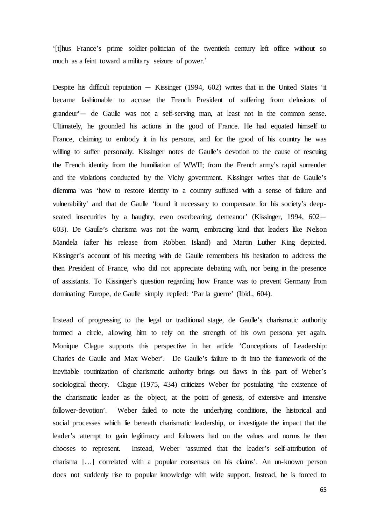'[t]hus France's prime soldier-politician of the twentieth century left office without so much as a feint toward a military seizure of power.'

Despite his difficult reputation — Kissinger (1994, 602) writes that in the United States 'it became fashionable to accuse the French President of suffering from delusions of grandeur'— de Gaulle was not a self-serving man, at least not in the common sense. Ultimately, he grounded his actions in the good of France. He had equated himself to France, claiming to embody it in his persona, and for the good of his country he was willing to suffer personally. Kissinger notes de Gaulle's devotion to the cause of rescuing the French identity from the humiliation of WWII; from the French army's rapid surrender and the violations conducted by the Vichy government. Kissinger writes that de Gaulle's dilemma was 'how to restore identity to a country suffused with a sense of failure and vulnerability' and that de Gaulle 'found it necessary to compensate for his society's deepseated insecurities by a haughty, even overbearing, demeanor' (Kissinger, 1994, 602– 603). De Gaulle's charisma was not the warm, embracing kind that leaders like Nelson Mandela (after his release from Robben Island) and Martin Luther King depicted. Kissinger's account of his meeting with de Gaulle remembers his hesitation to address the then President of France, who did not appreciate debating with, nor being in the presence of assistants. To Kissinger's question regarding how France was to prevent Germany from dominating Europe, de Gaulle simply replied: 'Par la guerre' (Ibid., 604).

Instead of progressing to the legal or traditional stage, de Gaulle's charismatic authority formed a circle, allowing him to rely on the strength of his own persona yet again. Monique Clague supports this perspective in her article 'Conceptions of Leadership: Charles de Gaulle and Max Weber'. De Gaulle's failure to fit into the framework of the inevitable routinization of charismatic authority brings out flaws in this part of Weber's sociological theory. Clague (1975, 434) criticizes Weber for postulating 'the existence of the charismatic leader as the object, at the point of genesis, of extensive and intensive follower-devotion'. Weber failed to note the underlying conditions, the historical and social processes which lie beneath charismatic leadership, or investigate the impact that the leader's attempt to gain legitimacy and followers had on the values and norms he then chooses to represent. Instead, Weber 'assumed that the leader's self-attribution of charisma […] correlated with a popular consensus on his claims'. An un-known person does not suddenly rise to popular knowledge with wide support. Instead, he is forced to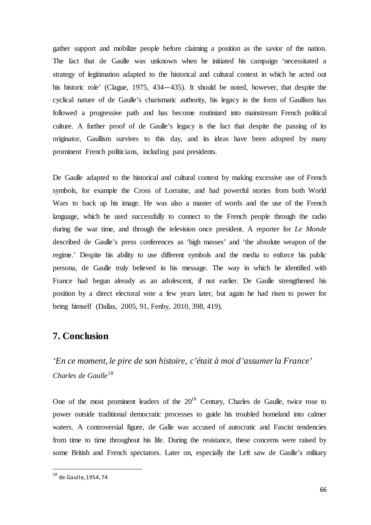gather support and mobilize people before claiming a position as the savior of the nation. The fact that de Gaulle was unknown when he initiated his campaign 'necessitated a strategy of legitimation adapted to the historical and cultural context in which he acted out his historic role' (Clague, 1975, 434—435). It should be noted, however, that despite the cyclical nature of de Gaulle's charismatic authority, his legacy in the form of Gaullism has followed a progressive path and has become routinized into mainstream French political culture. A further proof of de Gaulle's legacy is the fact that despite the passing of its originator, Gaullism survives to this day, and its ideas have been adopted by many prominent French politicians, including past presidents.

De Gaulle adapted to the historical and cultural context by making excessive use of French symbols, for example the Cross of Lorraine, and had powerful stories from both World Wars to back up his image. He was also a master of words and the use of the French language, which he used successfully to connect to the French people through the radio during the war time, and through the television once president. A reporter for *Le Monde* described de Gaulle's press conferences as 'high masses' and 'the absolute weapon of the regime.' Despite his ability to use different symbols and the media to enforce his public persona, de Gaulle truly believed in his message. The way in which he identified with France had begun already as an adolescent, if not earlier. De Gaulle strengthened his position by a direct electoral vote a few years later, but again he had risen to power for being himself (Dallas, 2005, 91, Fenby, 2010, 398, 419).

# **7. Conclusion**

*'En ce moment, le pire de son histoire, c'était à moi d'assumer la France' Charles de Gaulle*[18](#page-67-0)

One of the most prominent leaders of the  $20<sup>th</sup>$  Century, Charles de Gaulle, twice rose to power outside traditional democratic processes to guide his troubled homeland into calmer waters. A controversial figure, de Galle was accused of autocratic and Fascist tendencies from time to time throughout his life. During the resistance, these concerns were raised by some British and French spectators. Later on, especially the Left saw de Gaulle's military

<span id="page-67-0"></span> <sup>18</sup> de Gaulle, 1954, 74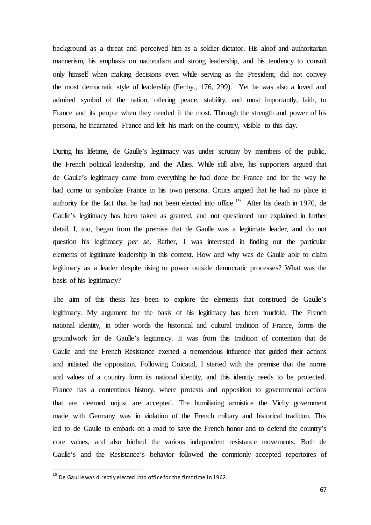background as a threat and perceived him as a soldier-dictator. His aloof and authoritarian mannerism, his emphasis on nationalism and strong leadership, and his tendency to consult only himself when making decisions even while serving as the President, did not convey the most democratic style of leadership (Fenby., 176, 299). Yet he was also a loved and admired symbol of the nation, offering peace, stability, and most importantly, faith, to France and its people when they needed it the most. Through the strength and power of his persona, he incarnated France and left his mark on the country, visible to this day.

During his lifetime, de Gaulle's legitimacy was under scrutiny by members of the public, the French political leadership, and the Allies. While still alive, his supporters argued that de Gaulle's legitimacy came from everything he had done for France and for the way he had come to symbolize France in his own persona. Critics argued that he had no place in authority for the fact that he had not been elected into office.<sup>[19](#page-68-0)</sup> After his death in 1970, de Gaulle's legitimacy has been taken as granted, and not questioned nor explained in further detail. I, too, began from the premise that de Gaulle was a legitimate leader, and do not question his legitimacy *per se*. Rather, I was interested in finding out the particular elements of legitimate leadership in this context. How and why was de Gaulle able to claim legitimacy as a leader despite rising to power outside democratic processes? What was the basis of his legitimacy?

The aim of this thesis has been to explore the elements that construed de Gaulle's legitimacy. My argument for the basis of his legitimacy has been fourfold. The French national identity, in other words the historical and cultural tradition of France, forms the groundwork for de Gaulle's legitimacy. It was from this tradition of contention that de Gaulle and the French Resistance exerted a tremendous influence that guided their actions and initiated the opposition. Following Coicaud, I started with the premise that the norms and values of a country form its national identity, and this identity needs to be protected. France has a contentious history, where protests and opposition to governmental actions that are deemed unjust are accepted. The humiliating armistice the Vichy government made with Germany was in violation of the French military and historical tradition. This led to de Gaulle to embark on a road to save the French honor and to defend the country's core values, and also birthed the various independent resistance movements. Both de Gaulle's and the Resistance's behavior followed the commonly accepted repertoires of

<span id="page-68-0"></span> $19$  De Gaulle was directly elected into office for the first time in 1962.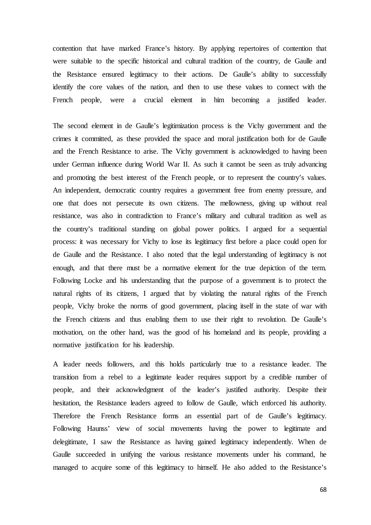contention that have marked France's history. By applying repertoires of contention that were suitable to the specific historical and cultural tradition of the country, de Gaulle and the Resistance ensured legitimacy to their actions. De Gaulle's ability to successfully identify the core values of the nation, and then to use these values to connect with the French people, were a crucial element in him becoming a justified leader.

The second element in de Gaulle's legitimization process is the Vichy government and the crimes it committed, as these provided the space and moral justification both for de Gaulle and the French Resistance to arise. The Vichy government is acknowledged to having been under German influence during World War II. As such it cannot be seen as truly advancing and promoting the best interest of the French people, or to represent the country's values. An independent, democratic country requires a government free from enemy pressure, and one that does not persecute its own citizens. The mellowness, giving up without real resistance, was also in contradiction to France's military and cultural tradition as well as the country's traditional standing on global power politics. I argued for a sequential process: it was necessary for Vichy to lose its legitimacy first before a place could open for de Gaulle and the Resistance. I also noted that the legal understanding of legitimacy is not enough, and that there must be a normative element for the true depiction of the term. Following Locke and his understanding that the purpose of a government is to protect the natural rights of its citizens, I argued that by violating the natural rights of the French people, Vichy broke the norms of good government, placing itself in the state of war with the French citizens and thus enabling them to use their right to revolution. De Gaulle's motivation, on the other hand, was the good of his homeland and its people, providing a normative justification for his leadership.

A leader needs followers, and this holds particularly true to a resistance leader. The transition from a rebel to a legitimate leader requires support by a credible number of people, and their acknowledgment of the leader's justified authority. Despite their hesitation, the Resistance leaders agreed to follow de Gaulle, which enforced his authority. Therefore the French Resistance forms an essential part of de Gaulle's legitimacy. Following Haunss' view of social movements having the power to legitimate and delegitimate, I saw the Resistance as having gained legitimacy independently. When de Gaulle succeeded in unifying the various resistance movements under his command, he managed to acquire some of this legitimacy to himself. He also added to the Resistance's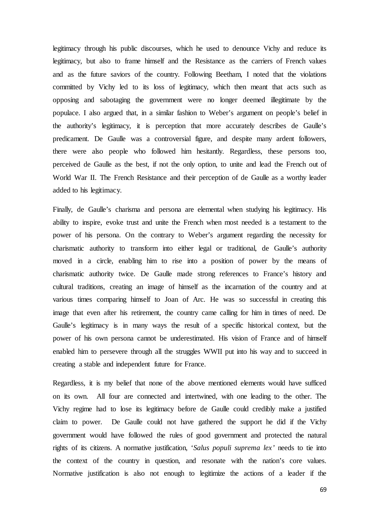legitimacy through his public discourses, which he used to denounce Vichy and reduce its legitimacy, but also to frame himself and the Resistance as the carriers of French values and as the future saviors of the country. Following Beetham, I noted that the violations committed by Vichy led to its loss of legitimacy, which then meant that acts such as opposing and sabotaging the government were no longer deemed illegitimate by the populace. I also argued that, in a similar fashion to Weber's argument on people's belief in the authority's legitimacy, it is perception that more accurately describes de Gaulle's predicament. De Gaulle was a controversial figure, and despite many ardent followers, there were also people who followed him hesitantly. Regardless, these persons too, perceived de Gaulle as the best, if not the only option, to unite and lead the French out of World War II. The French Resistance and their perception of de Gaulle as a worthy leader added to his legitimacy.

Finally, de Gaulle's charisma and persona are elemental when studying his legitimacy. His ability to inspire, evoke trust and unite the French when most needed is a testament to the power of his persona. On the contrary to Weber's argument regarding the necessity for charismatic authority to transform into either legal or traditional, de Gaulle's authority moved in a circle, enabling him to rise into a position of power by the means of charismatic authority twice. De Gaulle made strong references to France's history and cultural traditions, creating an image of himself as the incarnation of the country and at various times comparing himself to Joan of Arc. He was so successful in creating this image that even after his retirement, the country came calling for him in times of need. De Gaulle's legitimacy is in many ways the result of a specific historical context, but the power of his own persona cannot be underestimated. His vision of France and of himself enabled him to persevere through all the struggles WWII put into his way and to succeed in creating a stable and independent future for France.

Regardless, it is my belief that none of the above mentioned elements would have sufficed on its own. All four are connected and intertwined, with one leading to the other. The Vichy regime had to lose its legitimacy before de Gaulle could credibly make a justified claim to power. De Gaulle could not have gathered the support he did if the Vichy government would have followed the rules of good government and protected the natural rights of its citizens. A normative justification, '*Salus populi suprema lex'* needs to tie into the context of the country in question, and resonate with the nation's core values. Normative justification is also not enough to legitimize the actions of a leader if the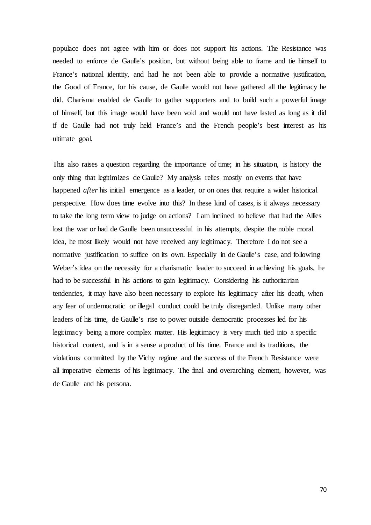populace does not agree with him or does not support his actions. The Resistance was needed to enforce de Gaulle's position, but without being able to frame and tie himself to France's national identity, and had he not been able to provide a normative justification, the Good of France, for his cause, de Gaulle would not have gathered all the legitimacy he did. Charisma enabled de Gaulle to gather supporters and to build such a powerful image of himself, but this image would have been void and would not have lasted as long as it did if de Gaulle had not truly held France's and the French people's best interest as his ultimate goal.

This also raises a question regarding the importance of time; in his situation, is history the only thing that legitimizes de Gaulle? My analysis relies mostly on events that have happened *after* his initial emergence as a leader, or on ones that require a wider historical perspective. How does time evolve into this? In these kind of cases, is it always necessary to take the long term view to judge on actions? I am inclined to believe that had the Allies lost the war or had de Gaulle been unsuccessful in his attempts, despite the noble moral idea, he most likely would not have received any legitimacy. Therefore I do not see a normative justification to suffice on its own. Especially in de Gaulle's case, and following Weber's idea on the necessity for a charismatic leader to succeed in achieving his goals, he had to be successful in his actions to gain legitimacy. Considering his authoritarian tendencies, it may have also been necessary to explore his legitimacy after his death, when any fear of undemocratic or illegal conduct could be truly disregarded. Unlike many other leaders of his time, de Gaulle's rise to power outside democratic processes led for his legitimacy being a more complex matter. His legitimacy is very much tied into a specific historical context, and is in a sense a product of his time. France and its traditions, the violations committed by the Vichy regime and the success of the French Resistance were all imperative elements of his legitimacy. The final and overarching element, however, was de Gaulle and his persona.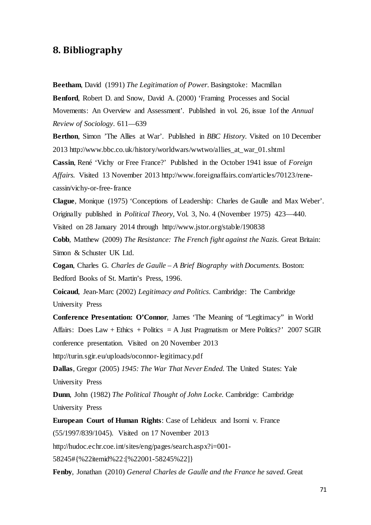## **8. Bibliography**

**Beetham**, David (1991) *The Legitimation of Power.* Basingstoke: Macmillan

**Benford**, Robert D. and Snow, David A. (2000) 'Framing Processes and Social Movements: An Overview and Assessment'. Published in vol. 26, issue 1of the *Annual Review of Sociology*. 611—639

**Berthon**, Simon 'The Allies at War'. Published in *BBC History.* Visited on 10 December 2013 http://www.bbc.co.uk/history/worldwars/wwtwo/allies\_at\_war\_01.shtml

**Cassin**, René 'Vichy or Free France?' Published in the October 1941 issue of *Foreign Affairs.* Visited 13 November 2013 http://www.foreignaffairs.com/articles/70123/renecassin/vichy-or-free-france

**Clague**, Monique (1975) 'Conceptions of Leadership: Charles de Gaulle and Max Weber'. Originally published in *Political Theory*, Vol. 3, No. 4 (November 1975) 423—440.

Visited on 28 January 2014 through http://www.jstor.org/stable/190838

**Cobb**, Matthew (2009) *The Resistance: The French fight against the Nazis*. Great Britain: Simon & Schuster UK Ltd.

**Cogan**, Charles G. *Charles de Gaulle – A Brief Biography with Documents.* Boston: Bedford Books of St. Martin's Press, 1996.

**Coicaud**, Jean-Marc (2002) *Legitimacy and Politics*. Cambridge: The Cambridge University Press

**Conference Presentation: O'Connor**, James 'The Meaning of "Legitimacy" in World Affairs: Does Law + Ethics + Politics = A Just Pragmatism or Mere Politics?' 2007 SGIR conference presentation. Visited on 20 November 2013

http://turin.sgir.eu/uploads/oconnor-legitimacy.pdf

**Dallas**, Gregor (2005) *1945: The War That Never Ended.* The United States: Yale University Press

**Dunn**, John (1982) *The Political Thought of John Locke.* Cambridge: Cambridge University Press

**European Court of Human Rights**: Case of Lehideux and Isorni v. France (55/1997/839/1045). Visited on 17 November 2013

http://hudoc.echr.coe.int/sites/eng/pages/search.aspx?i=001-

58245#{%22itemid%22:[%22001-58245%22]}

**Fenby**, Jonathan (2010) *General Charles de Gaulle and the France he saved.* Great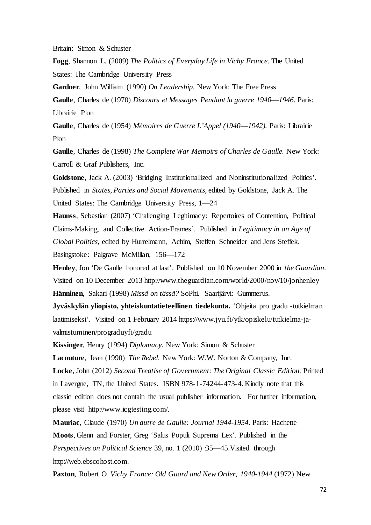Britain: Simon & Schuster

**Fogg**, Shannon L. (2009) *The Politics of Everyday Life in Vichy France*. The United States: The Cambridge University Press

**Gardner**, John William (1990) *On Leadership*. New York: The Free Press

**Gaulle**, Charles de (1970) *Discours et Messages Pendant la guerre 1940*—*1946*. Paris: Librairie Plon

**Gaulle**, Charles de (1954) *Mémoires de Guerre L'Appel (1940*—*1942).* Paris: Librairie Plon

**Gaulle**, Charles de (1998) *The Complete War Memoirs of Charles de Gaulle.* New York: Carroll & Graf Publishers, Inc.

**Goldstone**, Jack A. (2003) 'Bridging Institutionalized and Noninstitutionalized Politics'. Published in *States, Parties and Social Movements*, edited by Goldstone, Jack A. The United States: The Cambridge University Press, 1—24

**Haunss**, Sebastian (2007) 'Challenging Legitimacy: Repertoires of Contention, Political Claims-Making, and Collective Action-Frames'. Published in *Legitimacy in an Age of Global Politics*, edited by Hurrelmann, Achim, Steffen Schneider and Jens Steffek. Basingstoke: Palgrave McMillan, 156—172

**Henley**, Jon 'De Gaulle honored at last'. Published on 10 November 2000 in *the Guardian*. Visited on 10 December 2013 http://www.theguardian.com/world/2000/nov/10/jonhenley **Hänninen**, Sakari (1998) *Missä on tässä?* SoPhi. Saarijärvi: Gummerus.

**Jyväskylän yliopisto, yhteiskuntatieteellinen tiedekunta.** 'Ohjeita pro gradu -tutkielman laatimiseksi'. Visited on 1 February 2014 https://www.jyu.fi/ytk/opiskelu/tutkielma-javalmistuminen/prograduyfi/gradu

**Kissinger**, Henry (1994) *Diplomacy*. New York: Simon & Schuster

**Lacouture**, Jean (1990)*The Rebel*. New York: W.W. Norton & Company, Inc. **Locke**, John (2012) *Second Treatise of Government: The Original Classic Edition.* Printed in Lavergne, TN, the United States. ISBN 978-1-74244-473-4. Kindly note that this classic edition does not contain the usual publisher information. For further information,

please visit http://www.icgtesting.com/.

**Mauriac**, Claude (1970) *Un autre de Gaulle: Journal 1944-1954*. Paris: Hachette **Moots**, Glenn and Forster, Greg 'Salus Populi Suprema Lex'. Published in the *Perspectives on Political Science* 39, no. 1 (2010) :35—45.Visited through http://web.ebscohost.com.

**Paxton**, Robert O. *Vichy France: Old Guard and New Order, 1940-1944* (1972) New